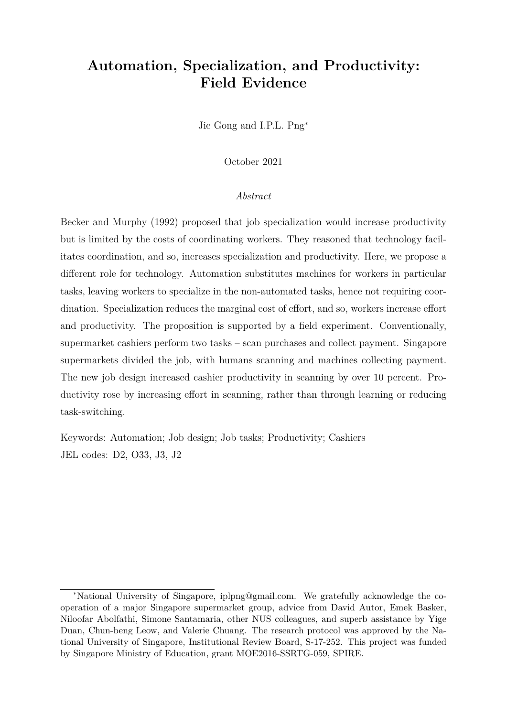# **Automation, Specialization, and Productivity: Field Evidence**

Jie Gong and I.P.L. Png<sup>∗</sup>

October 2021

#### *Abstract*

Becker and Murphy (1992) proposed that job specialization would increase productivity but is limited by the costs of coordinating workers. They reasoned that technology facilitates coordination, and so, increases specialization and productivity. Here, we propose a different role for technology. Automation substitutes machines for workers in particular tasks, leaving workers to specialize in the non-automated tasks, hence not requiring coordination. Specialization reduces the marginal cost of effort, and so, workers increase effort and productivity. The proposition is supported by a field experiment. Conventionally, supermarket cashiers perform two tasks – scan purchases and collect payment. Singapore supermarkets divided the job, with humans scanning and machines collecting payment. The new job design increased cashier productivity in scanning by over 10 percent. Productivity rose by increasing effort in scanning, rather than through learning or reducing task-switching.

Keywords: Automation; Job design; Job tasks; Productivity; Cashiers JEL codes: D2, O33, J3, J2

<sup>∗</sup>National University of Singapore, iplpng@gmail.com. We gratefully acknowledge the cooperation of a major Singapore supermarket group, advice from David Autor, Emek Basker, Niloofar Abolfathi, Simone Santamaria, other NUS colleagues, and superb assistance by Yige Duan, Chun-beng Leow, and Valerie Chuang. The research protocol was approved by the National University of Singapore, Institutional Review Board, S-17-252. This project was funded by Singapore Ministry of Education, grant MOE2016-SSRTG-059, SPIRE.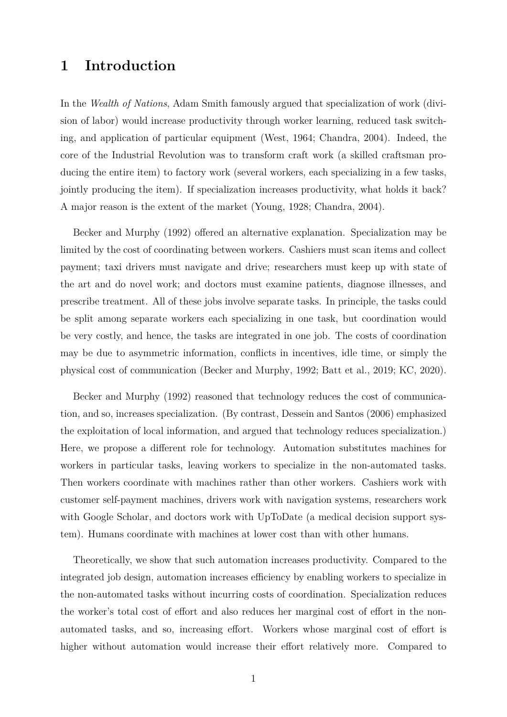## **1 Introduction**

In the *Wealth of Nations*, Adam Smith famously argued that specialization of work (division of labor) would increase productivity through worker learning, reduced task switching, and application of particular equipment (West, 1964; Chandra, 2004). Indeed, the core of the Industrial Revolution was to transform craft work (a skilled craftsman producing the entire item) to factory work (several workers, each specializing in a few tasks, jointly producing the item). If specialization increases productivity, what holds it back? A major reason is the extent of the market (Young, 1928; Chandra, 2004).

Becker and Murphy (1992) offered an alternative explanation. Specialization may be limited by the cost of coordinating between workers. Cashiers must scan items and collect payment; taxi drivers must navigate and drive; researchers must keep up with state of the art and do novel work; and doctors must examine patients, diagnose illnesses, and prescribe treatment. All of these jobs involve separate tasks. In principle, the tasks could be split among separate workers each specializing in one task, but coordination would be very costly, and hence, the tasks are integrated in one job. The costs of coordination may be due to asymmetric information, conflicts in incentives, idle time, or simply the physical cost of communication (Becker and Murphy, 1992; Batt et al., 2019; KC, 2020).

Becker and Murphy (1992) reasoned that technology reduces the cost of communication, and so, increases specialization. (By contrast, Dessein and Santos (2006) emphasized the exploitation of local information, and argued that technology reduces specialization.) Here, we propose a different role for technology. Automation substitutes machines for workers in particular tasks, leaving workers to specialize in the non-automated tasks. Then workers coordinate with machines rather than other workers. Cashiers work with customer self-payment machines, drivers work with navigation systems, researchers work with Google Scholar, and doctors work with UpToDate (a medical decision support system). Humans coordinate with machines at lower cost than with other humans.

Theoretically, we show that such automation increases productivity. Compared to the integrated job design, automation increases efficiency by enabling workers to specialize in the non-automated tasks without incurring costs of coordination. Specialization reduces the worker's total cost of effort and also reduces her marginal cost of effort in the nonautomated tasks, and so, increasing effort. Workers whose marginal cost of effort is higher without automation would increase their effort relatively more. Compared to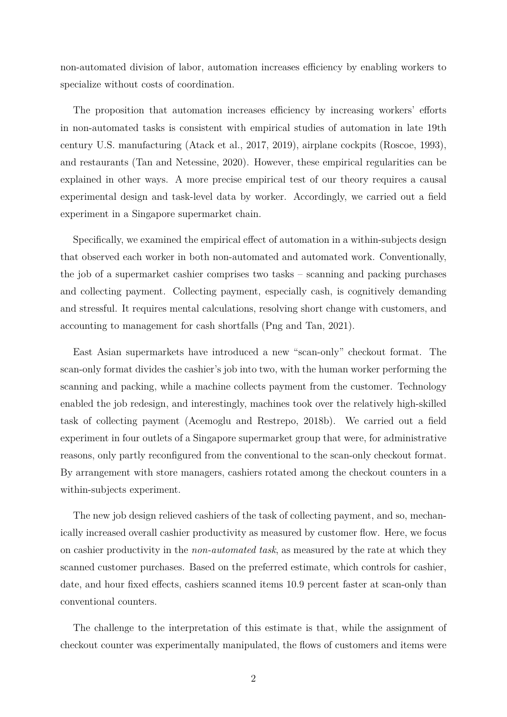non-automated division of labor, automation increases efficiency by enabling workers to specialize without costs of coordination.

The proposition that automation increases efficiency by increasing workers' efforts in non-automated tasks is consistent with empirical studies of automation in late 19th century U.S. manufacturing (Atack et al., 2017, 2019), airplane cockpits (Roscoe, 1993), and restaurants (Tan and Netessine, 2020). However, these empirical regularities can be explained in other ways. A more precise empirical test of our theory requires a causal experimental design and task-level data by worker. Accordingly, we carried out a field experiment in a Singapore supermarket chain.

Specifically, we examined the empirical effect of automation in a within-subjects design that observed each worker in both non-automated and automated work. Conventionally, the job of a supermarket cashier comprises two tasks – scanning and packing purchases and collecting payment. Collecting payment, especially cash, is cognitively demanding and stressful. It requires mental calculations, resolving short change with customers, and accounting to management for cash shortfalls (Png and Tan, 2021).

East Asian supermarkets have introduced a new "scan-only" checkout format. The scan-only format divides the cashier's job into two, with the human worker performing the scanning and packing, while a machine collects payment from the customer. Technology enabled the job redesign, and interestingly, machines took over the relatively high-skilled task of collecting payment (Acemoglu and Restrepo, 2018b). We carried out a field experiment in four outlets of a Singapore supermarket group that were, for administrative reasons, only partly reconfigured from the conventional to the scan-only checkout format. By arrangement with store managers, cashiers rotated among the checkout counters in a within-subjects experiment.

The new job design relieved cashiers of the task of collecting payment, and so, mechanically increased overall cashier productivity as measured by customer flow. Here, we focus on cashier productivity in the *non-automated task*, as measured by the rate at which they scanned customer purchases. Based on the preferred estimate, which controls for cashier, date, and hour fixed effects, cashiers scanned items 10.9 percent faster at scan-only than conventional counters.

The challenge to the interpretation of this estimate is that, while the assignment of checkout counter was experimentally manipulated, the flows of customers and items were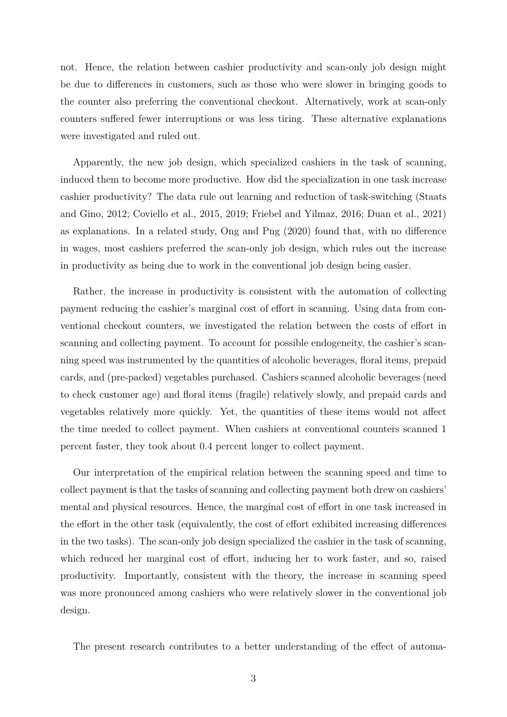not. Hence, the relation between cashier productivity and scan-only job design might be due to differences in customers, such as those who were slower in bringing goods to the counter also preferring the conventional checkout. Alternatively, work at scan-only counters suffered fewer interruptions or was less tiring. These alternative explanations were investigated and ruled out.

Apparently, the new job design, which specialized cashiers in the task of scanning, induced them to become more productive. How did the specialization in one task increase cashier productivity? The data rule out learning and reduction of task-switching (Staats and Gino, 2012; Coviello et al., 2015, 2019; Friebel and Yilmaz, 2016; Duan et al., 2021) as explanations. In a related study, Ong and Png (2020) found that, with no difference in wages, most cashiers preferred the scan-only job design, which rules out the increase in productivity as being due to work in the conventional job design being easier.

Rather, the increase in productivity is consistent with the automation of collecting payment reducing the cashier's marginal cost of effort in scanning. Using data from conventional checkout counters, we investigated the relation between the costs of effort in scanning and collecting payment. To account for possible endogeneity, the cashier's scanning speed was instrumented by the quantities of alcoholic beverages, floral items, prepaid cards, and (pre-packed) vegetables purchased. Cashiers scanned alcoholic beverages (need to check customer age) and floral items (fragile) relatively slowly, and prepaid cards and vegetables relatively more quickly. Yet, the quantities of these items would not affect the time needed to collect payment. When cashiers at conventional counters scanned 1 percent faster, they took about 0.4 percent longer to collect payment.

Our interpretation of the empirical relation between the scanning speed and time to collect payment is that the tasks of scanning and collecting payment both drew on cashiers' mental and physical resources. Hence, the marginal cost of effort in one task increased in the effort in the other task (equivalently, the cost of effort exhibited increasing differences in the two tasks). The scan-only job design specialized the cashier in the task of scanning, which reduced her marginal cost of effort, inducing her to work faster, and so, raised productivity. Importantly, consistent with the theory, the increase in scanning speed was more pronounced among cashiers who were relatively slower in the conventional job design.

The present research contributes to a better understanding of the effect of automa-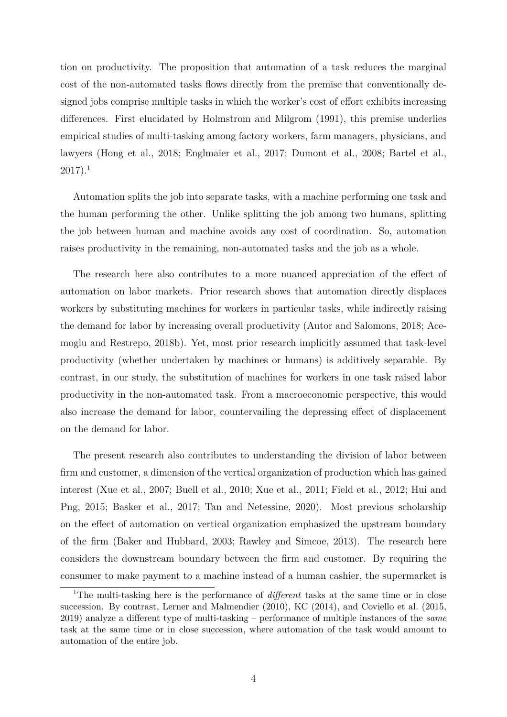tion on productivity. The proposition that automation of a task reduces the marginal cost of the non-automated tasks flows directly from the premise that conventionally designed jobs comprise multiple tasks in which the worker's cost of effort exhibits increasing differences. First elucidated by Holmstrom and Milgrom (1991), this premise underlies empirical studies of multi-tasking among factory workers, farm managers, physicians, and lawyers (Hong et al., 2018; Englmaier et al., 2017; Dumont et al., 2008; Bartel et al.,  $2017$ ).<sup>1</sup>

Automation splits the job into separate tasks, with a machine performing one task and the human performing the other. Unlike splitting the job among two humans, splitting the job between human and machine avoids any cost of coordination. So, automation raises productivity in the remaining, non-automated tasks and the job as a whole.

The research here also contributes to a more nuanced appreciation of the effect of automation on labor markets. Prior research shows that automation directly displaces workers by substituting machines for workers in particular tasks, while indirectly raising the demand for labor by increasing overall productivity (Autor and Salomons, 2018; Acemoglu and Restrepo, 2018b). Yet, most prior research implicitly assumed that task-level productivity (whether undertaken by machines or humans) is additively separable. By contrast, in our study, the substitution of machines for workers in one task raised labor productivity in the non-automated task. From a macroeconomic perspective, this would also increase the demand for labor, countervailing the depressing effect of displacement on the demand for labor.

The present research also contributes to understanding the division of labor between firm and customer, a dimension of the vertical organization of production which has gained interest (Xue et al., 2007; Buell et al., 2010; Xue et al., 2011; Field et al., 2012; Hui and Png, 2015; Basker et al., 2017; Tan and Netessine, 2020). Most previous scholarship on the effect of automation on vertical organization emphasized the upstream boundary of the firm (Baker and Hubbard, 2003; Rawley and Simcoe, 2013). The research here considers the downstream boundary between the firm and customer. By requiring the consumer to make payment to a machine instead of a human cashier, the supermarket is

<sup>1</sup>The multi-tasking here is the performance of *different* tasks at the same time or in close succession. By contrast, Lerner and Malmendier (2010), KC (2014), and Coviello et al. (2015, 2019) analyze a different type of multi-tasking – performance of multiple instances of the *same* task at the same time or in close succession, where automation of the task would amount to automation of the entire job.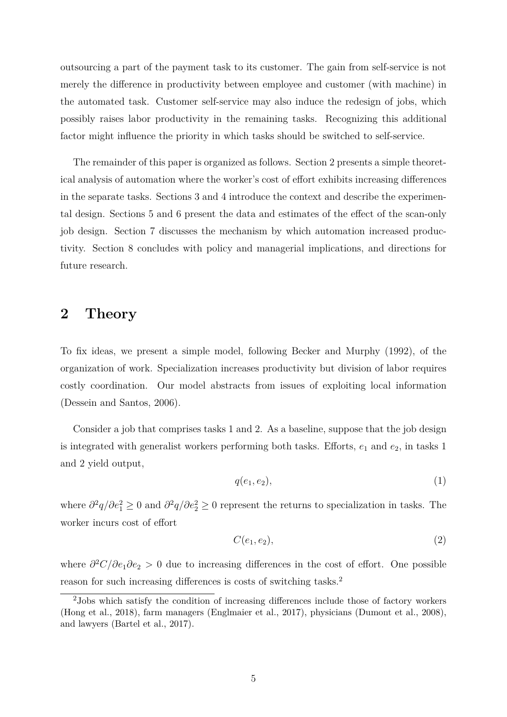outsourcing a part of the payment task to its customer. The gain from self-service is not merely the difference in productivity between employee and customer (with machine) in the automated task. Customer self-service may also induce the redesign of jobs, which possibly raises labor productivity in the remaining tasks. Recognizing this additional factor might influence the priority in which tasks should be switched to self-service.

The remainder of this paper is organized as follows. Section 2 presents a simple theoretical analysis of automation where the worker's cost of effort exhibits increasing differences in the separate tasks. Sections 3 and 4 introduce the context and describe the experimental design. Sections 5 and 6 present the data and estimates of the effect of the scan-only job design. Section 7 discusses the mechanism by which automation increased productivity. Section 8 concludes with policy and managerial implications, and directions for future research.

### **2 Theory**

To fix ideas, we present a simple model, following Becker and Murphy (1992), of the organization of work. Specialization increases productivity but division of labor requires costly coordination. Our model abstracts from issues of exploiting local information (Dessein and Santos, 2006).

Consider a job that comprises tasks 1 and 2. As a baseline, suppose that the job design is integrated with generalist workers performing both tasks. Efforts, *e*<sup>1</sup> and *e*2, in tasks 1 and 2 yield output,

$$
q(e_1, e_2), \tag{1}
$$

where  $\partial^2 q/\partial e_1^2 \geq 0$  and  $\partial^2 q/\partial e_2^2 \geq 0$  represent the returns to specialization in tasks. The worker incurs cost of effort

$$
C(e_1, e_2), \tag{2}
$$

where *∂* <sup>2</sup>*C/∂e*1*∂e*<sup>2</sup> *>* 0 due to increasing differences in the cost of effort. One possible reason for such increasing differences is costs of switching tasks.<sup>2</sup>

<sup>2</sup>Jobs which satisfy the condition of increasing differences include those of factory workers (Hong et al., 2018), farm managers (Englmaier et al., 2017), physicians (Dumont et al., 2008), and lawyers (Bartel et al., 2017).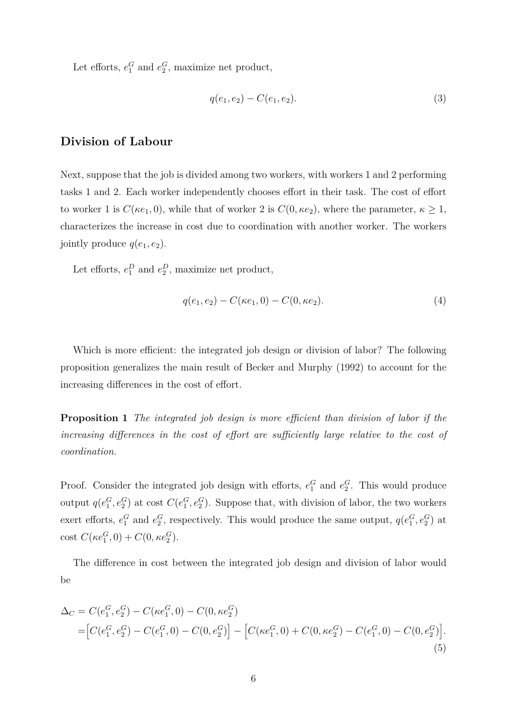Let efforts,  $e_1^G$  and  $e_2^G$ , maximize net product,

$$
q(e_1, e_2) - C(e_1, e_2). \tag{3}
$$

#### **Division of Labour**

Next, suppose that the job is divided among two workers, with workers 1 and 2 performing tasks 1 and 2. Each worker independently chooses effort in their task. The cost of effort to worker 1 is  $C(\kappa e_1, 0)$ , while that of worker 2 is  $C(0, \kappa e_2)$ , where the parameter,  $\kappa \geq 1$ , characterizes the increase in cost due to coordination with another worker. The workers jointly produce  $q(e_1, e_2)$ .

Let efforts,  $e_1^D$  and  $e_2^D$ , maximize net product,

$$
q(e_1, e_2) - C(\kappa e_1, 0) - C(0, \kappa e_2). \tag{4}
$$

Which is more efficient: the integrated job design or division of labor? The following proposition generalizes the main result of Becker and Murphy (1992) to account for the increasing differences in the cost of effort.

**Proposition 1** *The integrated job design is more efficient than division of labor if the increasing differences in the cost of effort are sufficiently large relative to the cost of coordination.*

Proof. Consider the integrated job design with efforts,  $e_1^G$  and  $e_2^G$ . This would produce output  $q(e_1^G, e_2^G)$  at cost  $C(e_1^G, e_2^G)$ . Suppose that, with division of labor, the two workers exert efforts,  $e_1^G$  and  $e_2^G$ , respectively. This would produce the same output,  $q(e_1^G, e_2^G)$  at  $\cot C(\kappa e_1^G, 0) + C(0, \kappa e_2^G).$ 

The difference in cost between the integrated job design and division of labor would be

$$
\Delta_C = C(e_1^G, e_2^G) - C(\kappa e_1^G, 0) - C(0, \kappa e_2^G)
$$
  
= 
$$
\left[C(e_1^G, e_2^G) - C(e_1^G, 0) - C(0, e_2^G)\right] - \left[C(\kappa e_1^G, 0) + C(0, \kappa e_2^G) - C(e_1^G, 0) - C(0, e_2^G)\right].
$$
  
(5)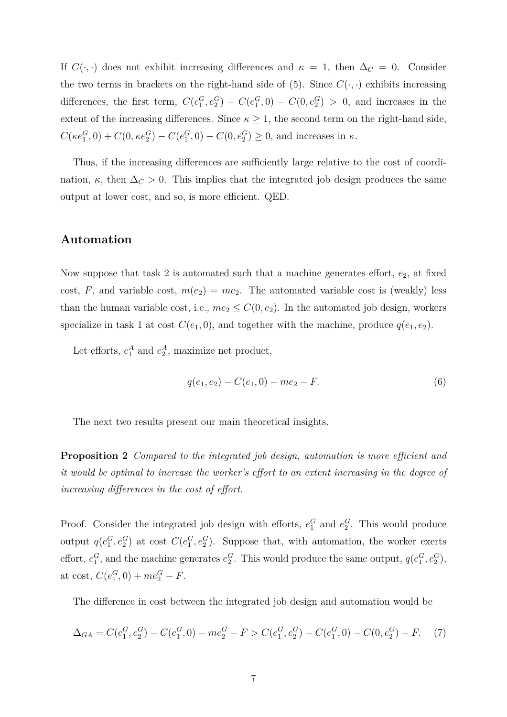If  $C(\cdot, \cdot)$  does not exhibit increasing differences and  $\kappa = 1$ , then  $\Delta_C = 0$ . Consider the two terms in brackets on the right-hand side of (5). Since  $C(\cdot, \cdot)$  exhibits increasing differences, the first term,  $C(e_1^G, e_2^G) - C(e_1^G, 0) - C(0, e_2^G) > 0$ , and increases in the extent of the increasing differences. Since  $\kappa \geq 1$ , the second term on the right-hand side,  $C(\kappa e_1^G, 0) + C(0, \kappa e_2^G) - C(e_1^G, 0) - C(0, e_2^G) \ge 0$ , and increases in  $\kappa$ .

Thus, if the increasing differences are sufficiently large relative to the cost of coordination,  $\kappa$ , then  $\Delta_C > 0$ . This implies that the integrated job design produces the same output at lower cost, and so, is more efficient. QED.

#### **Automation**

Now suppose that task 2 is automated such that a machine generates effort,  $e_2$ , at fixed cost, F, and variable cost,  $m(e_2) = me_2$ . The automated variable cost is (weakly) less than the human variable cost, i.e.,  $me_2 \leq C(0, e_2)$ . In the automated job design, workers specialize in task 1 at cost  $C(e_1, 0)$ , and together with the machine, produce  $q(e_1, e_2)$ .

Let efforts,  $e_1^A$  and  $e_2^A$ , maximize net product,

$$
q(e_1, e_2) - C(e_1, 0) - me_2 - F.
$$
\n<sup>(6)</sup>

The next two results present our main theoretical insights.

**Proposition 2** *Compared to the integrated job design, automation is more efficient and it would be optimal to increase the worker's effort to an extent increasing in the degree of increasing differences in the cost of effort.*

Proof. Consider the integrated job design with efforts,  $e_1^G$  and  $e_2^G$ . This would produce output  $q(e_1^G, e_2^G)$  at cost  $C(e_1^G, e_2^G)$ . Suppose that, with automation, the worker exerts effort,  $e_1^G$ , and the machine generates  $e_2^G$ . This would produce the same output,  $q(e_1^G, e_2^G)$ , at cost,  $C(e_1^G, 0) + me_2^G - F$ .

The difference in cost between the integrated job design and automation would be

$$
\Delta_{GA} = C(e_1^G, e_2^G) - C(e_1^G, 0) - me_2^G - F > C(e_1^G, e_2^G) - C(e_1^G, 0) - C(0, e_2^G) - F. \tag{7}
$$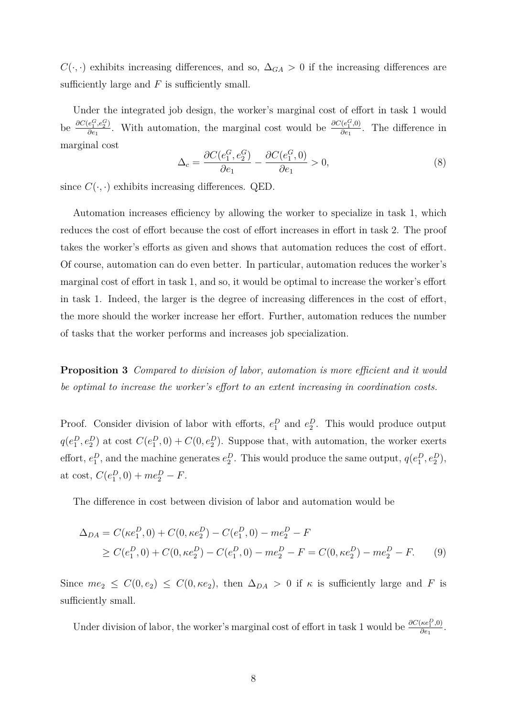$C(\cdot, \cdot)$  exhibits increasing differences, and so,  $\Delta_{GA} > 0$  if the increasing differences are sufficiently large and *F* is sufficiently small.

Under the integrated job design, the worker's marginal cost of effort in task 1 would be  $\frac{\partial C(e_1^G, e_2^G)}{\partial e_1}$  $\frac{e_1^G,e_2^G}{\partial e_1}$ . With automation, the marginal cost would be  $\frac{\partial C(e_1^G,0)}{\partial e_1}$  $\frac{\partial (e_1^{\tau},0)}{\partial e_1}$ . The difference in marginal cost

$$
\Delta_c = \frac{\partial C(e_1^G, e_2^G)}{\partial e_1} - \frac{\partial C(e_1^G, 0)}{\partial e_1} > 0,\tag{8}
$$

since  $C(\cdot, \cdot)$  exhibits increasing differences. QED.

Automation increases efficiency by allowing the worker to specialize in task 1, which reduces the cost of effort because the cost of effort increases in effort in task 2. The proof takes the worker's efforts as given and shows that automation reduces the cost of effort. Of course, automation can do even better. In particular, automation reduces the worker's marginal cost of effort in task 1, and so, it would be optimal to increase the worker's effort in task 1. Indeed, the larger is the degree of increasing differences in the cost of effort, the more should the worker increase her effort. Further, automation reduces the number of tasks that the worker performs and increases job specialization.

**Proposition 3** *Compared to division of labor, automation is more efficient and it would be optimal to increase the worker's effort to an extent increasing in coordination costs.*

Proof. Consider division of labor with efforts,  $e_1^D$  and  $e_2^D$ . This would produce output  $q(e_1^D, e_2^D)$  at cost  $C(e_1^D, 0) + C(0, e_2^D)$ . Suppose that, with automation, the worker exerts effort,  $e_1^D$ , and the machine generates  $e_2^D$ . This would produce the same output,  $q(e_1^D, e_2^D)$ , at cost,  $C(e_1^D, 0) + me_2^D - F$ .

The difference in cost between division of labor and automation would be

$$
\Delta_{DA} = C(\kappa e_1^D, 0) + C(0, \kappa e_2^D) - C(e_1^D, 0) - me_2^D - F
$$
  
\n
$$
\geq C(e_1^D, 0) + C(0, \kappa e_2^D) - C(e_1^D, 0) - me_2^D - F = C(0, \kappa e_2^D) - me_2^D - F.
$$
 (9)

Since  $me_2 \leq C(0, e_2) \leq C(0, \kappa e_2)$ , then  $\Delta_{DA} > 0$  if  $\kappa$  is sufficiently large and *F* is sufficiently small.

Under division of labor, the worker's marginal cost of effort in task 1 would be  $\frac{\partial C(\kappa e_1^D,0)}{\partial \epsilon_1}$  $\frac{\left(\kappa e_1^-,0\right)}{\partial e_1}$ .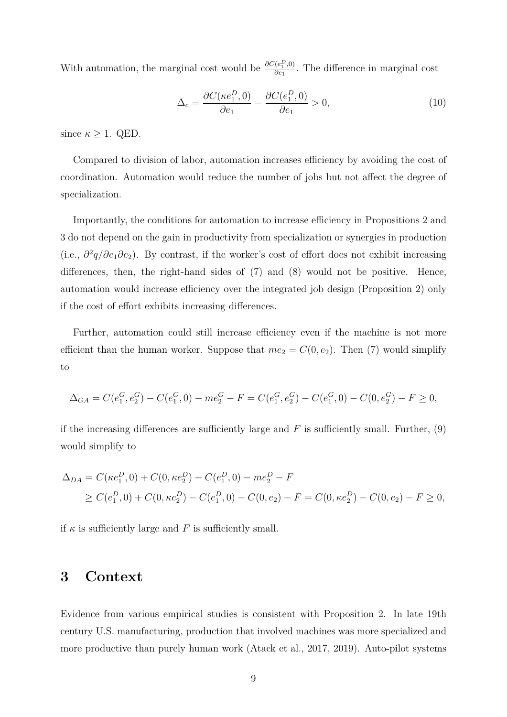With automation, the marginal cost would be  $\frac{\partial C(e_1^D,0)}{\partial e_1}$  $\frac{(e_1^2,0)}{\partial e_1}$ . The difference in marginal cost

$$
\Delta_c = \frac{\partial C(\kappa e_1^D, 0)}{\partial e_1} - \frac{\partial C(e_1^D, 0)}{\partial e_1} > 0,\tag{10}
$$

since  $\kappa \geq 1$ . QED.

Compared to division of labor, automation increases efficiency by avoiding the cost of coordination. Automation would reduce the number of jobs but not affect the degree of specialization.

Importantly, the conditions for automation to increase efficiency in Propositions 2 and 3 do not depend on the gain in productivity from specialization or synergies in production (i.e., *∂* 2 *q/∂e*1*∂e*2). By contrast, if the worker's cost of effort does not exhibit increasing differences, then, the right-hand sides of (7) and (8) would not be positive. Hence, automation would increase efficiency over the integrated job design (Proposition 2) only if the cost of effort exhibits increasing differences.

Further, automation could still increase efficiency even if the machine is not more efficient than the human worker. Suppose that  $me_2 = C(0, e_2)$ . Then (7) would simplify to

$$
\Delta_{GA} = C(e_1^G, e_2^G) - C(e_1^G, 0) - me_2^G - F = C(e_1^G, e_2^G) - C(e_1^G, 0) - C(0, e_2^G) - F \ge 0,
$$

if the increasing differences are sufficiently large and  $F$  is sufficiently small. Further,  $(9)$ would simplify to

$$
\Delta_{DA} = C(\kappa e_1^D, 0) + C(0, \kappa e_2^D) - C(e_1^D, 0) - me_2^D - F
$$
  
\n
$$
\geq C(e_1^D, 0) + C(0, \kappa e_2^D) - C(e_1^D, 0) - C(0, e_2) - F = C(0, \kappa e_2^D) - C(0, e_2) - F \geq 0,
$$

if  $\kappa$  is sufficiently large and  $F$  is sufficiently small.

## **3 Context**

Evidence from various empirical studies is consistent with Proposition 2. In late 19th century U.S. manufacturing, production that involved machines was more specialized and more productive than purely human work (Atack et al., 2017, 2019). Auto-pilot systems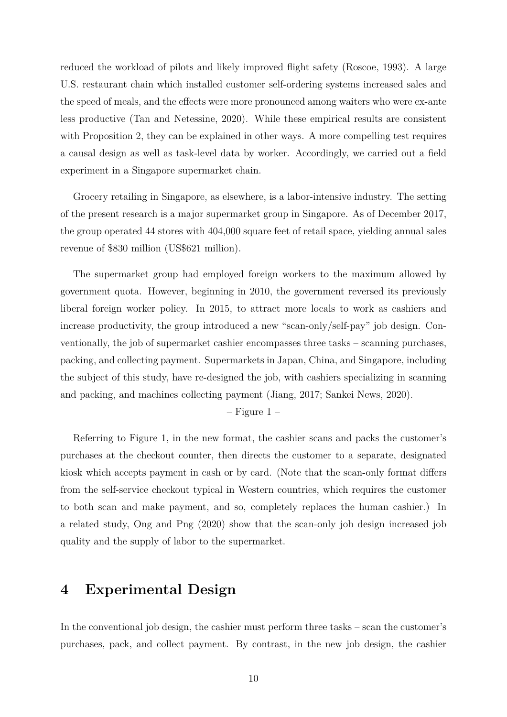reduced the workload of pilots and likely improved flight safety (Roscoe, 1993). A large U.S. restaurant chain which installed customer self-ordering systems increased sales and the speed of meals, and the effects were more pronounced among waiters who were ex-ante less productive (Tan and Netessine, 2020). While these empirical results are consistent with Proposition 2, they can be explained in other ways. A more compelling test requires a causal design as well as task-level data by worker. Accordingly, we carried out a field experiment in a Singapore supermarket chain.

Grocery retailing in Singapore, as elsewhere, is a labor-intensive industry. The setting of the present research is a major supermarket group in Singapore. As of December 2017, the group operated 44 stores with 404,000 square feet of retail space, yielding annual sales revenue of \$830 million (US\$621 million).

The supermarket group had employed foreign workers to the maximum allowed by government quota. However, beginning in 2010, the government reversed its previously liberal foreign worker policy. In 2015, to attract more locals to work as cashiers and increase productivity, the group introduced a new "scan-only/self-pay" job design. Conventionally, the job of supermarket cashier encompasses three tasks – scanning purchases, packing, and collecting payment. Supermarkets in Japan, China, and Singapore, including the subject of this study, have re-designed the job, with cashiers specializing in scanning and packing, and machines collecting payment (Jiang, 2017; Sankei News, 2020).

 $-$  Figure 1 –

Referring to Figure 1, in the new format, the cashier scans and packs the customer's purchases at the checkout counter, then directs the customer to a separate, designated kiosk which accepts payment in cash or by card. (Note that the scan-only format differs from the self-service checkout typical in Western countries, which requires the customer to both scan and make payment, and so, completely replaces the human cashier.) In a related study, Ong and Png (2020) show that the scan-only job design increased job quality and the supply of labor to the supermarket.

## **4 Experimental Design**

In the conventional job design, the cashier must perform three tasks – scan the customer's purchases, pack, and collect payment. By contrast, in the new job design, the cashier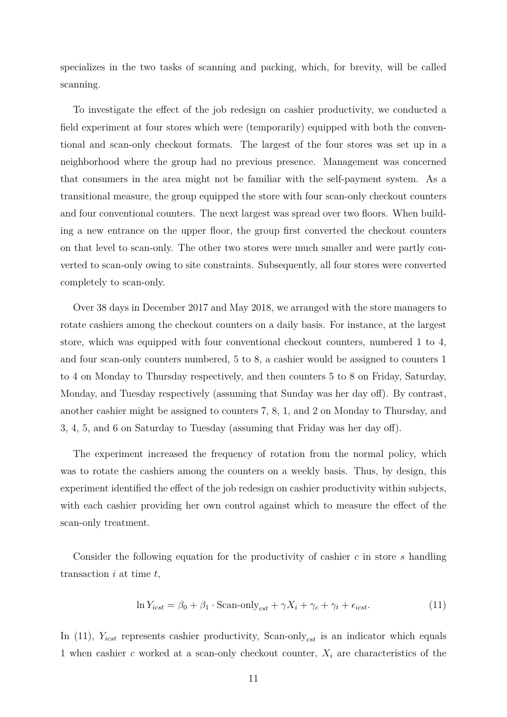specializes in the two tasks of scanning and packing, which, for brevity, will be called scanning.

To investigate the effect of the job redesign on cashier productivity, we conducted a field experiment at four stores which were (temporarily) equipped with both the conventional and scan-only checkout formats. The largest of the four stores was set up in a neighborhood where the group had no previous presence. Management was concerned that consumers in the area might not be familiar with the self-payment system. As a transitional measure, the group equipped the store with four scan-only checkout counters and four conventional counters. The next largest was spread over two floors. When building a new entrance on the upper floor, the group first converted the checkout counters on that level to scan-only. The other two stores were much smaller and were partly converted to scan-only owing to site constraints. Subsequently, all four stores were converted completely to scan-only.

Over 38 days in December 2017 and May 2018, we arranged with the store managers to rotate cashiers among the checkout counters on a daily basis. For instance, at the largest store, which was equipped with four conventional checkout counters, numbered 1 to 4, and four scan-only counters numbered, 5 to 8, a cashier would be assigned to counters 1 to 4 on Monday to Thursday respectively, and then counters 5 to 8 on Friday, Saturday, Monday, and Tuesday respectively (assuming that Sunday was her day off). By contrast, another cashier might be assigned to counters 7, 8, 1, and 2 on Monday to Thursday, and 3, 4, 5, and 6 on Saturday to Tuesday (assuming that Friday was her day off).

The experiment increased the frequency of rotation from the normal policy, which was to rotate the cashiers among the counters on a weekly basis. Thus, by design, this experiment identified the effect of the job redesign on cashier productivity within subjects, with each cashier providing her own control against which to measure the effect of the scan-only treatment.

Consider the following equation for the productivity of cashier *c* in store *s* handling transaction *i* at time *t*,

$$
\ln Y_{icst} = \beta_0 + \beta_1 \cdot \text{Scan-only}_{cst} + \gamma X_i + \gamma_c + \gamma_t + \epsilon_{icst}.\tag{11}
$$

In (11),  $Y_{icst}$  represents cashier productivity, Scan-only<sub>cst</sub> is an indicator which equals 1 when cashier *c* worked at a scan-only checkout counter, *X<sup>i</sup>* are characteristics of the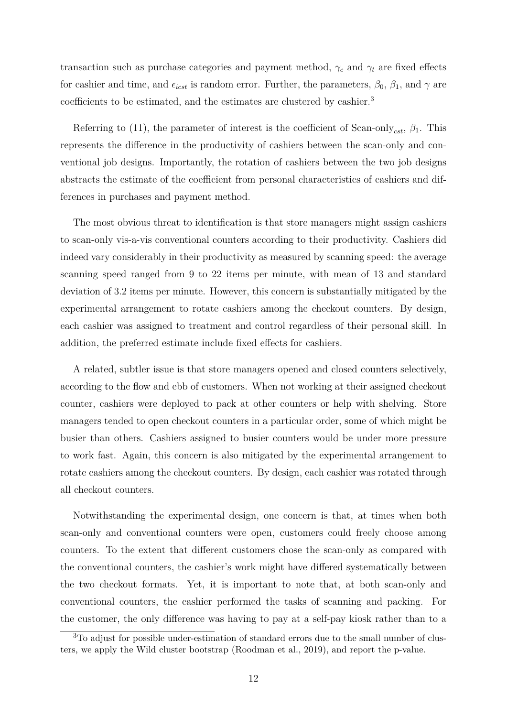transaction such as purchase categories and payment method,  $\gamma_c$  and  $\gamma_t$  are fixed effects for cashier and time, and  $\epsilon_{icst}$  is random error. Further, the parameters,  $\beta_0$ ,  $\beta_1$ , and  $\gamma$  are coefficients to be estimated, and the estimates are clustered by cashier.<sup>3</sup>

Referring to (11), the parameter of interest is the coefficient of Scan-only<sub>cst</sub>,  $\beta_1$ . This represents the difference in the productivity of cashiers between the scan-only and conventional job designs. Importantly, the rotation of cashiers between the two job designs abstracts the estimate of the coefficient from personal characteristics of cashiers and differences in purchases and payment method.

The most obvious threat to identification is that store managers might assign cashiers to scan-only vis-a-vis conventional counters according to their productivity. Cashiers did indeed vary considerably in their productivity as measured by scanning speed: the average scanning speed ranged from 9 to 22 items per minute, with mean of 13 and standard deviation of 3.2 items per minute. However, this concern is substantially mitigated by the experimental arrangement to rotate cashiers among the checkout counters. By design, each cashier was assigned to treatment and control regardless of their personal skill. In addition, the preferred estimate include fixed effects for cashiers.

A related, subtler issue is that store managers opened and closed counters selectively, according to the flow and ebb of customers. When not working at their assigned checkout counter, cashiers were deployed to pack at other counters or help with shelving. Store managers tended to open checkout counters in a particular order, some of which might be busier than others. Cashiers assigned to busier counters would be under more pressure to work fast. Again, this concern is also mitigated by the experimental arrangement to rotate cashiers among the checkout counters. By design, each cashier was rotated through all checkout counters.

Notwithstanding the experimental design, one concern is that, at times when both scan-only and conventional counters were open, customers could freely choose among counters. To the extent that different customers chose the scan-only as compared with the conventional counters, the cashier's work might have differed systematically between the two checkout formats. Yet, it is important to note that, at both scan-only and conventional counters, the cashier performed the tasks of scanning and packing. For the customer, the only difference was having to pay at a self-pay kiosk rather than to a

<sup>3</sup>To adjust for possible under-estimation of standard errors due to the small number of clusters, we apply the Wild cluster bootstrap (Roodman et al., 2019), and report the p-value.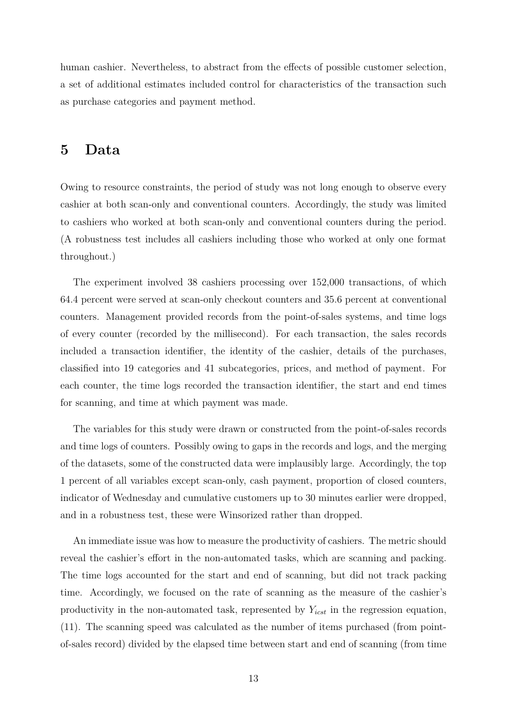human cashier. Nevertheless, to abstract from the effects of possible customer selection, a set of additional estimates included control for characteristics of the transaction such as purchase categories and payment method.

### **5 Data**

Owing to resource constraints, the period of study was not long enough to observe every cashier at both scan-only and conventional counters. Accordingly, the study was limited to cashiers who worked at both scan-only and conventional counters during the period. (A robustness test includes all cashiers including those who worked at only one format throughout.)

The experiment involved 38 cashiers processing over 152,000 transactions, of which 64.4 percent were served at scan-only checkout counters and 35.6 percent at conventional counters. Management provided records from the point-of-sales systems, and time logs of every counter (recorded by the millisecond). For each transaction, the sales records included a transaction identifier, the identity of the cashier, details of the purchases, classified into 19 categories and 41 subcategories, prices, and method of payment. For each counter, the time logs recorded the transaction identifier, the start and end times for scanning, and time at which payment was made.

The variables for this study were drawn or constructed from the point-of-sales records and time logs of counters. Possibly owing to gaps in the records and logs, and the merging of the datasets, some of the constructed data were implausibly large. Accordingly, the top 1 percent of all variables except scan-only, cash payment, proportion of closed counters, indicator of Wednesday and cumulative customers up to 30 minutes earlier were dropped, and in a robustness test, these were Winsorized rather than dropped.

An immediate issue was how to measure the productivity of cashiers. The metric should reveal the cashier's effort in the non-automated tasks, which are scanning and packing. The time logs accounted for the start and end of scanning, but did not track packing time. Accordingly, we focused on the rate of scanning as the measure of the cashier's productivity in the non-automated task, represented by *Yicst* in the regression equation, (11). The scanning speed was calculated as the number of items purchased (from pointof-sales record) divided by the elapsed time between start and end of scanning (from time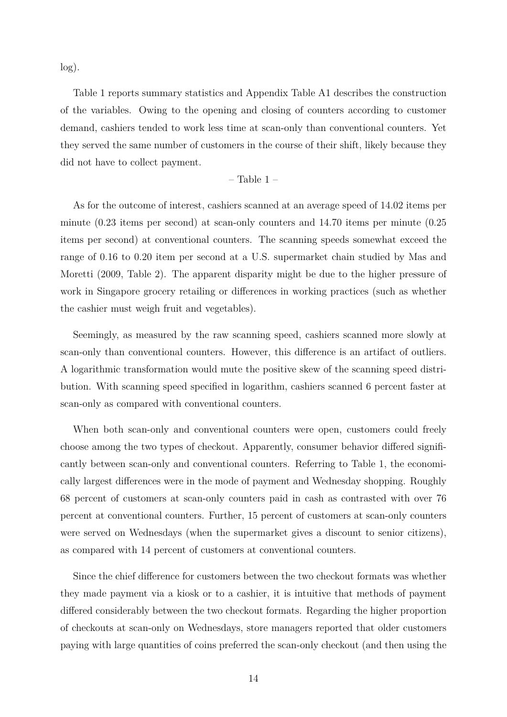log).

Table 1 reports summary statistics and Appendix Table A1 describes the construction of the variables. Owing to the opening and closing of counters according to customer demand, cashiers tended to work less time at scan-only than conventional counters. Yet they served the same number of customers in the course of their shift, likely because they did not have to collect payment.

#### – Table 1 –

As for the outcome of interest, cashiers scanned at an average speed of 14.02 items per minute (0.23 items per second) at scan-only counters and 14.70 items per minute (0.25 items per second) at conventional counters. The scanning speeds somewhat exceed the range of 0.16 to 0.20 item per second at a U.S. supermarket chain studied by Mas and Moretti (2009, Table 2). The apparent disparity might be due to the higher pressure of work in Singapore grocery retailing or differences in working practices (such as whether the cashier must weigh fruit and vegetables).

Seemingly, as measured by the raw scanning speed, cashiers scanned more slowly at scan-only than conventional counters. However, this difference is an artifact of outliers. A logarithmic transformation would mute the positive skew of the scanning speed distribution. With scanning speed specified in logarithm, cashiers scanned 6 percent faster at scan-only as compared with conventional counters.

When both scan-only and conventional counters were open, customers could freely choose among the two types of checkout. Apparently, consumer behavior differed significantly between scan-only and conventional counters. Referring to Table 1, the economically largest differences were in the mode of payment and Wednesday shopping. Roughly 68 percent of customers at scan-only counters paid in cash as contrasted with over 76 percent at conventional counters. Further, 15 percent of customers at scan-only counters were served on Wednesdays (when the supermarket gives a discount to senior citizens), as compared with 14 percent of customers at conventional counters.

Since the chief difference for customers between the two checkout formats was whether they made payment via a kiosk or to a cashier, it is intuitive that methods of payment differed considerably between the two checkout formats. Regarding the higher proportion of checkouts at scan-only on Wednesdays, store managers reported that older customers paying with large quantities of coins preferred the scan-only checkout (and then using the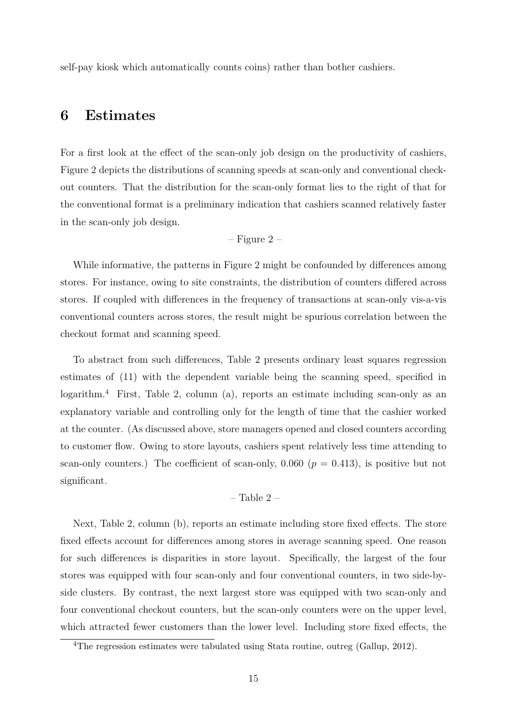self-pay kiosk which automatically counts coins) rather than bother cashiers.

### **6 Estimates**

For a first look at the effect of the scan-only job design on the productivity of cashiers, Figure 2 depicts the distributions of scanning speeds at scan-only and conventional checkout counters. That the distribution for the scan-only format lies to the right of that for the conventional format is a preliminary indication that cashiers scanned relatively faster in the scan-only job design.

$$
-
$$
 Figure 2 –

While informative, the patterns in Figure 2 might be confounded by differences among stores. For instance, owing to site constraints, the distribution of counters differed across stores. If coupled with differences in the frequency of transactions at scan-only vis-a-vis conventional counters across stores, the result might be spurious correlation between the checkout format and scanning speed.

To abstract from such differences, Table 2 presents ordinary least squares regression estimates of (11) with the dependent variable being the scanning speed, specified in logarithm.<sup>4</sup> First, Table 2, column (a), reports an estimate including scan-only as an explanatory variable and controlling only for the length of time that the cashier worked at the counter. (As discussed above, store managers opened and closed counters according to customer flow. Owing to store layouts, cashiers spent relatively less time attending to scan-only counters.) The coefficient of scan-only,  $0.060$  ( $p = 0.413$ ), is positive but not significant.

#### – Table 2 –

Next, Table 2, column (b), reports an estimate including store fixed effects. The store fixed effects account for differences among stores in average scanning speed. One reason for such differences is disparities in store layout. Specifically, the largest of the four stores was equipped with four scan-only and four conventional counters, in two side-byside clusters. By contrast, the next largest store was equipped with two scan-only and four conventional checkout counters, but the scan-only counters were on the upper level, which attracted fewer customers than the lower level. Including store fixed effects, the

<sup>&</sup>lt;sup>4</sup>The regression estimates were tabulated using Stata routine, outreg (Gallup, 2012).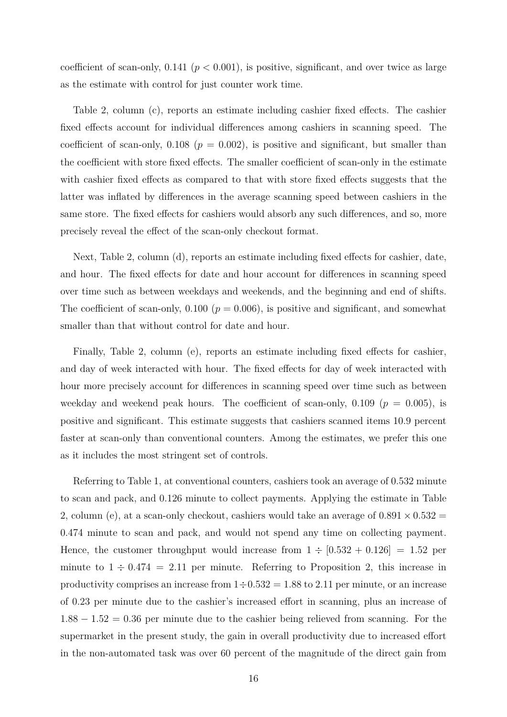coefficient of scan-only,  $0.141$  ( $p < 0.001$ ), is positive, significant, and over twice as large as the estimate with control for just counter work time.

Table 2, column (c), reports an estimate including cashier fixed effects. The cashier fixed effects account for individual differences among cashiers in scanning speed. The coefficient of scan-only,  $0.108$  ( $p = 0.002$ ), is positive and significant, but smaller than the coefficient with store fixed effects. The smaller coefficient of scan-only in the estimate with cashier fixed effects as compared to that with store fixed effects suggests that the latter was inflated by differences in the average scanning speed between cashiers in the same store. The fixed effects for cashiers would absorb any such differences, and so, more precisely reveal the effect of the scan-only checkout format.

Next, Table 2, column (d), reports an estimate including fixed effects for cashier, date, and hour. The fixed effects for date and hour account for differences in scanning speed over time such as between weekdays and weekends, and the beginning and end of shifts. The coefficient of scan-only,  $0.100$  ( $p = 0.006$ ), is positive and significant, and somewhat smaller than that without control for date and hour.

Finally, Table 2, column (e), reports an estimate including fixed effects for cashier, and day of week interacted with hour. The fixed effects for day of week interacted with hour more precisely account for differences in scanning speed over time such as between weekday and weekend peak hours. The coefficient of scan-only,  $0.109$  ( $p = 0.005$ ), is positive and significant. This estimate suggests that cashiers scanned items 10.9 percent faster at scan-only than conventional counters. Among the estimates, we prefer this one as it includes the most stringent set of controls.

Referring to Table 1, at conventional counters, cashiers took an average of 0.532 minute to scan and pack, and 0.126 minute to collect payments. Applying the estimate in Table 2, column (e), at a scan-only checkout, cashiers would take an average of  $0.891 \times 0.532$  = 0*.*474 minute to scan and pack, and would not spend any time on collecting payment. Hence, the customer throughput would increase from  $1 \div [0.532 + 0.126] = 1.52$  per minute to  $1 \div 0.474 = 2.11$  per minute. Referring to Proposition 2, this increase in productivity comprises an increase from  $1 \div 0.532 = 1.88$  to 2.11 per minute, or an increase of 0.23 per minute due to the cashier's increased effort in scanning, plus an increase of 1*.*88 − 1*.*52 = 0*.*36 per minute due to the cashier being relieved from scanning. For the supermarket in the present study, the gain in overall productivity due to increased effort in the non-automated task was over 60 percent of the magnitude of the direct gain from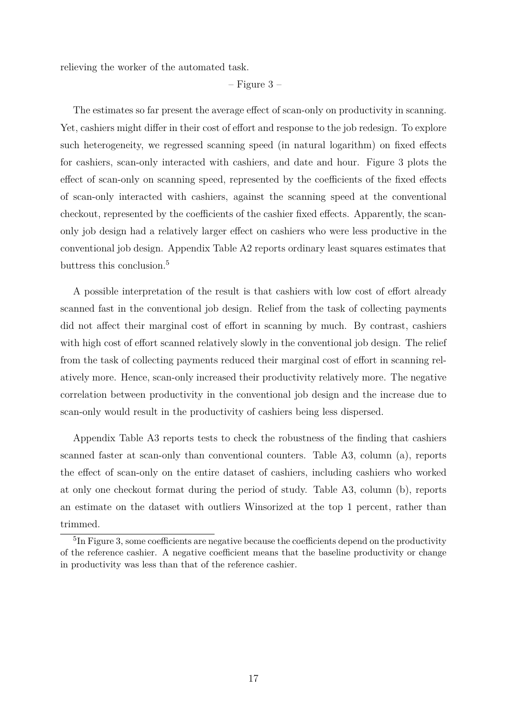relieving the worker of the automated task.

#### $-$  Figure 3 –

The estimates so far present the average effect of scan-only on productivity in scanning. Yet, cashiers might differ in their cost of effort and response to the job redesign. To explore such heterogeneity, we regressed scanning speed (in natural logarithm) on fixed effects for cashiers, scan-only interacted with cashiers, and date and hour. Figure 3 plots the effect of scan-only on scanning speed, represented by the coefficients of the fixed effects of scan-only interacted with cashiers, against the scanning speed at the conventional checkout, represented by the coefficients of the cashier fixed effects. Apparently, the scanonly job design had a relatively larger effect on cashiers who were less productive in the conventional job design. Appendix Table A2 reports ordinary least squares estimates that buttress this conclusion.<sup>5</sup>

A possible interpretation of the result is that cashiers with low cost of effort already scanned fast in the conventional job design. Relief from the task of collecting payments did not affect their marginal cost of effort in scanning by much. By contrast, cashiers with high cost of effort scanned relatively slowly in the conventional job design. The relief from the task of collecting payments reduced their marginal cost of effort in scanning relatively more. Hence, scan-only increased their productivity relatively more. The negative correlation between productivity in the conventional job design and the increase due to scan-only would result in the productivity of cashiers being less dispersed.

Appendix Table A3 reports tests to check the robustness of the finding that cashiers scanned faster at scan-only than conventional counters. Table A3, column (a), reports the effect of scan-only on the entire dataset of cashiers, including cashiers who worked at only one checkout format during the period of study. Table A3, column (b), reports an estimate on the dataset with outliers Winsorized at the top 1 percent, rather than trimmed.

<sup>&</sup>lt;sup>5</sup>In Figure 3, some coefficients are negative because the coefficients depend on the productivity of the reference cashier. A negative coefficient means that the baseline productivity or change in productivity was less than that of the reference cashier.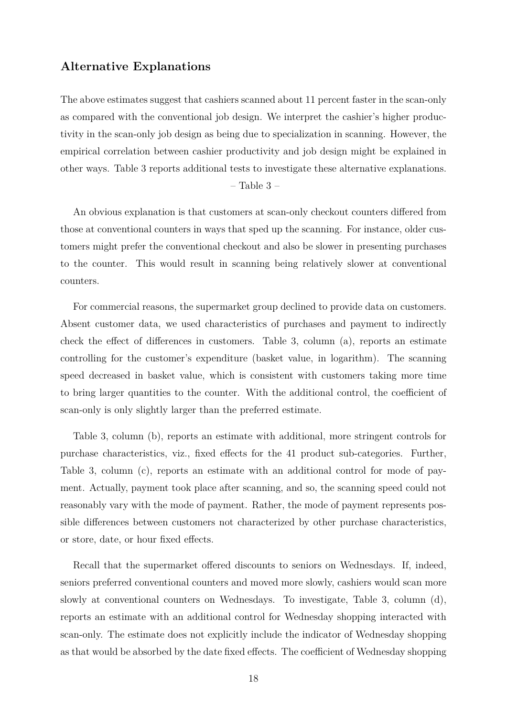#### **Alternative Explanations**

The above estimates suggest that cashiers scanned about 11 percent faster in the scan-only as compared with the conventional job design. We interpret the cashier's higher productivity in the scan-only job design as being due to specialization in scanning. However, the empirical correlation between cashier productivity and job design might be explained in other ways. Table 3 reports additional tests to investigate these alternative explanations.

#### – Table 3 –

An obvious explanation is that customers at scan-only checkout counters differed from those at conventional counters in ways that sped up the scanning. For instance, older customers might prefer the conventional checkout and also be slower in presenting purchases to the counter. This would result in scanning being relatively slower at conventional counters.

For commercial reasons, the supermarket group declined to provide data on customers. Absent customer data, we used characteristics of purchases and payment to indirectly check the effect of differences in customers. Table 3, column (a), reports an estimate controlling for the customer's expenditure (basket value, in logarithm). The scanning speed decreased in basket value, which is consistent with customers taking more time to bring larger quantities to the counter. With the additional control, the coefficient of scan-only is only slightly larger than the preferred estimate.

Table 3, column (b), reports an estimate with additional, more stringent controls for purchase characteristics, viz., fixed effects for the 41 product sub-categories. Further, Table 3, column (c), reports an estimate with an additional control for mode of payment. Actually, payment took place after scanning, and so, the scanning speed could not reasonably vary with the mode of payment. Rather, the mode of payment represents possible differences between customers not characterized by other purchase characteristics, or store, date, or hour fixed effects.

Recall that the supermarket offered discounts to seniors on Wednesdays. If, indeed, seniors preferred conventional counters and moved more slowly, cashiers would scan more slowly at conventional counters on Wednesdays. To investigate, Table 3, column (d), reports an estimate with an additional control for Wednesday shopping interacted with scan-only. The estimate does not explicitly include the indicator of Wednesday shopping as that would be absorbed by the date fixed effects. The coefficient of Wednesday shopping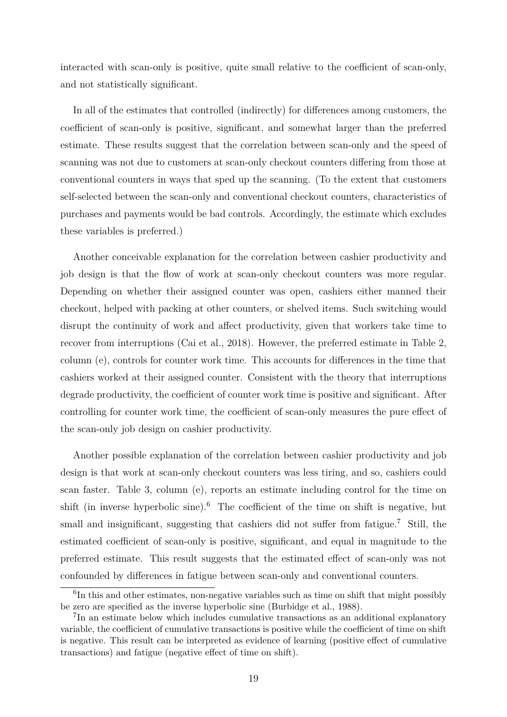interacted with scan-only is positive, quite small relative to the coefficient of scan-only, and not statistically significant.

In all of the estimates that controlled (indirectly) for differences among customers, the coefficient of scan-only is positive, significant, and somewhat larger than the preferred estimate. These results suggest that the correlation between scan-only and the speed of scanning was not due to customers at scan-only checkout counters differing from those at conventional counters in ways that sped up the scanning. (To the extent that customers self-selected between the scan-only and conventional checkout counters, characteristics of purchases and payments would be bad controls. Accordingly, the estimate which excludes these variables is preferred.)

Another conceivable explanation for the correlation between cashier productivity and job design is that the flow of work at scan-only checkout counters was more regular. Depending on whether their assigned counter was open, cashiers either manned their checkout, helped with packing at other counters, or shelved items. Such switching would disrupt the continuity of work and affect productivity, given that workers take time to recover from interruptions (Cai et al., 2018). However, the preferred estimate in Table 2, column (e), controls for counter work time. This accounts for differences in the time that cashiers worked at their assigned counter. Consistent with the theory that interruptions degrade productivity, the coefficient of counter work time is positive and significant. After controlling for counter work time, the coefficient of scan-only measures the pure effect of the scan-only job design on cashier productivity.

Another possible explanation of the correlation between cashier productivity and job design is that work at scan-only checkout counters was less tiring, and so, cashiers could scan faster. Table 3, column (e), reports an estimate including control for the time on shift (in inverse hyperbolic sine).<sup>6</sup> The coefficient of the time on shift is negative, but small and insignificant, suggesting that cashiers did not suffer from fatigue.<sup>7</sup> Still, the estimated coefficient of scan-only is positive, significant, and equal in magnitude to the preferred estimate. This result suggests that the estimated effect of scan-only was not confounded by differences in fatigue between scan-only and conventional counters.

<sup>&</sup>lt;sup>6</sup>In this and other estimates, non-negative variables such as time on shift that might possibly be zero are specified as the inverse hyperbolic sine (Burbidge et al., 1988).

<sup>&</sup>lt;sup>7</sup>In an estimate below which includes cumulative transactions as an additional explanatory variable, the coefficient of cumulative transactions is positive while the coefficient of time on shift is negative. This result can be interpreted as evidence of learning (positive effect of cumulative transactions) and fatigue (negative effect of time on shift).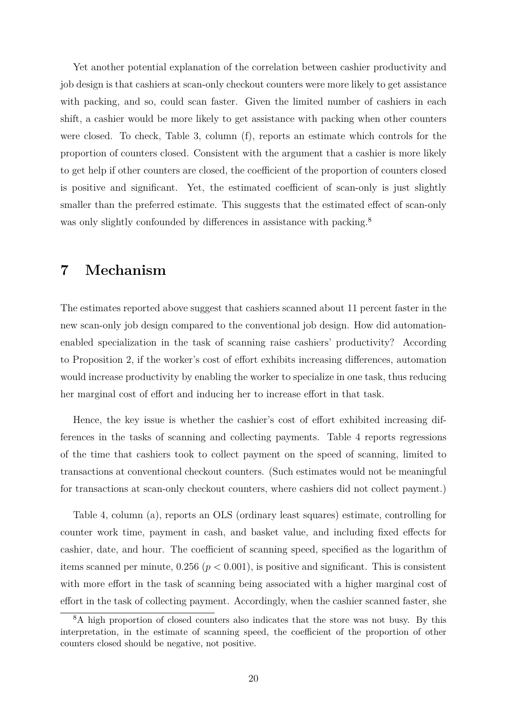Yet another potential explanation of the correlation between cashier productivity and job design is that cashiers at scan-only checkout counters were more likely to get assistance with packing, and so, could scan faster. Given the limited number of cashiers in each shift, a cashier would be more likely to get assistance with packing when other counters were closed. To check, Table 3, column (f), reports an estimate which controls for the proportion of counters closed. Consistent with the argument that a cashier is more likely to get help if other counters are closed, the coefficient of the proportion of counters closed is positive and significant. Yet, the estimated coefficient of scan-only is just slightly smaller than the preferred estimate. This suggests that the estimated effect of scan-only was only slightly confounded by differences in assistance with packing.<sup>8</sup>

## **7 Mechanism**

The estimates reported above suggest that cashiers scanned about 11 percent faster in the new scan-only job design compared to the conventional job design. How did automationenabled specialization in the task of scanning raise cashiers' productivity? According to Proposition 2, if the worker's cost of effort exhibits increasing differences, automation would increase productivity by enabling the worker to specialize in one task, thus reducing her marginal cost of effort and inducing her to increase effort in that task.

Hence, the key issue is whether the cashier's cost of effort exhibited increasing differences in the tasks of scanning and collecting payments. Table 4 reports regressions of the time that cashiers took to collect payment on the speed of scanning, limited to transactions at conventional checkout counters. (Such estimates would not be meaningful for transactions at scan-only checkout counters, where cashiers did not collect payment.)

Table 4, column (a), reports an OLS (ordinary least squares) estimate, controlling for counter work time, payment in cash, and basket value, and including fixed effects for cashier, date, and hour. The coefficient of scanning speed, specified as the logarithm of items scanned per minute,  $0.256$  ( $p < 0.001$ ), is positive and significant. This is consistent with more effort in the task of scanning being associated with a higher marginal cost of effort in the task of collecting payment. Accordingly, when the cashier scanned faster, she

<sup>8</sup>A high proportion of closed counters also indicates that the store was not busy. By this interpretation, in the estimate of scanning speed, the coefficient of the proportion of other counters closed should be negative, not positive.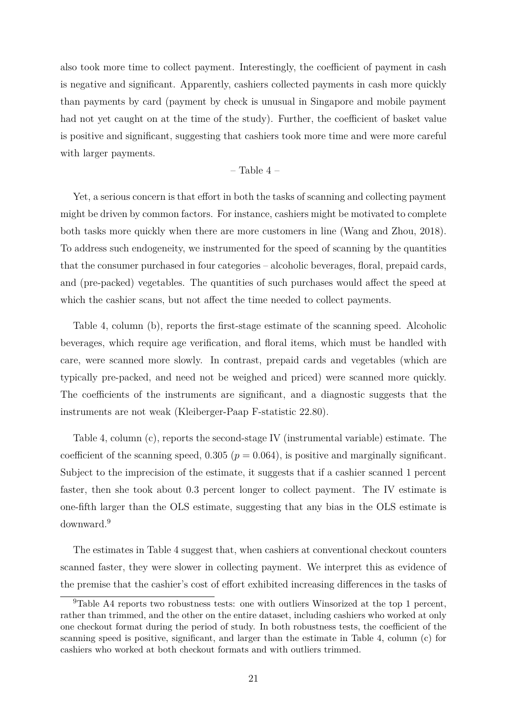also took more time to collect payment. Interestingly, the coefficient of payment in cash is negative and significant. Apparently, cashiers collected payments in cash more quickly than payments by card (payment by check is unusual in Singapore and mobile payment had not yet caught on at the time of the study). Further, the coefficient of basket value is positive and significant, suggesting that cashiers took more time and were more careful with larger payments.

#### $-$  Table 4  $-$

Yet, a serious concern is that effort in both the tasks of scanning and collecting payment might be driven by common factors. For instance, cashiers might be motivated to complete both tasks more quickly when there are more customers in line (Wang and Zhou, 2018). To address such endogeneity, we instrumented for the speed of scanning by the quantities that the consumer purchased in four categories – alcoholic beverages, floral, prepaid cards, and (pre-packed) vegetables. The quantities of such purchases would affect the speed at which the cashier scans, but not affect the time needed to collect payments.

Table 4, column (b), reports the first-stage estimate of the scanning speed. Alcoholic beverages, which require age verification, and floral items, which must be handled with care, were scanned more slowly. In contrast, prepaid cards and vegetables (which are typically pre-packed, and need not be weighed and priced) were scanned more quickly. The coefficients of the instruments are significant, and a diagnostic suggests that the instruments are not weak (Kleiberger-Paap F-statistic 22.80).

Table 4, column (c), reports the second-stage IV (instrumental variable) estimate. The coefficient of the scanning speed,  $0.305$  ( $p = 0.064$ ), is positive and marginally significant. Subject to the imprecision of the estimate, it suggests that if a cashier scanned 1 percent faster, then she took about 0.3 percent longer to collect payment. The IV estimate is one-fifth larger than the OLS estimate, suggesting that any bias in the OLS estimate is downward.<sup>9</sup>

The estimates in Table 4 suggest that, when cashiers at conventional checkout counters scanned faster, they were slower in collecting payment. We interpret this as evidence of the premise that the cashier's cost of effort exhibited increasing differences in the tasks of

<sup>&</sup>lt;sup>9</sup>Table A4 reports two robustness tests: one with outliers Winsorized at the top 1 percent, rather than trimmed, and the other on the entire dataset, including cashiers who worked at only one checkout format during the period of study. In both robustness tests, the coefficient of the scanning speed is positive, significant, and larger than the estimate in Table 4, column (c) for cashiers who worked at both checkout formats and with outliers trimmed.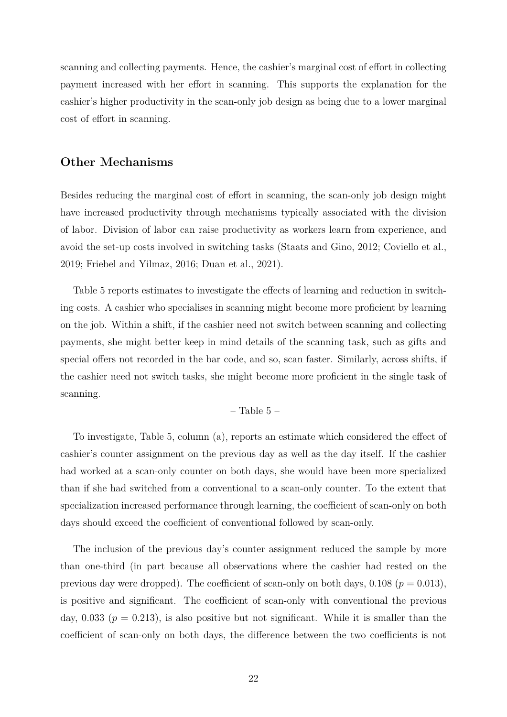scanning and collecting payments. Hence, the cashier's marginal cost of effort in collecting payment increased with her effort in scanning. This supports the explanation for the cashier's higher productivity in the scan-only job design as being due to a lower marginal cost of effort in scanning.

#### **Other Mechanisms**

Besides reducing the marginal cost of effort in scanning, the scan-only job design might have increased productivity through mechanisms typically associated with the division of labor. Division of labor can raise productivity as workers learn from experience, and avoid the set-up costs involved in switching tasks (Staats and Gino, 2012; Coviello et al., 2019; Friebel and Yilmaz, 2016; Duan et al., 2021).

Table 5 reports estimates to investigate the effects of learning and reduction in switching costs. A cashier who specialises in scanning might become more proficient by learning on the job. Within a shift, if the cashier need not switch between scanning and collecting payments, she might better keep in mind details of the scanning task, such as gifts and special offers not recorded in the bar code, and so, scan faster. Similarly, across shifts, if the cashier need not switch tasks, she might become more proficient in the single task of scanning.

– Table  $5$  –

To investigate, Table 5, column (a), reports an estimate which considered the effect of cashier's counter assignment on the previous day as well as the day itself. If the cashier had worked at a scan-only counter on both days, she would have been more specialized than if she had switched from a conventional to a scan-only counter. To the extent that specialization increased performance through learning, the coefficient of scan-only on both days should exceed the coefficient of conventional followed by scan-only.

The inclusion of the previous day's counter assignment reduced the sample by more than one-third (in part because all observations where the cashier had rested on the previous day were dropped). The coefficient of scan-only on both days,  $0.108$  ( $p = 0.013$ ), is positive and significant. The coefficient of scan-only with conventional the previous day,  $0.033$  ( $p = 0.213$ ), is also positive but not significant. While it is smaller than the coefficient of scan-only on both days, the difference between the two coefficients is not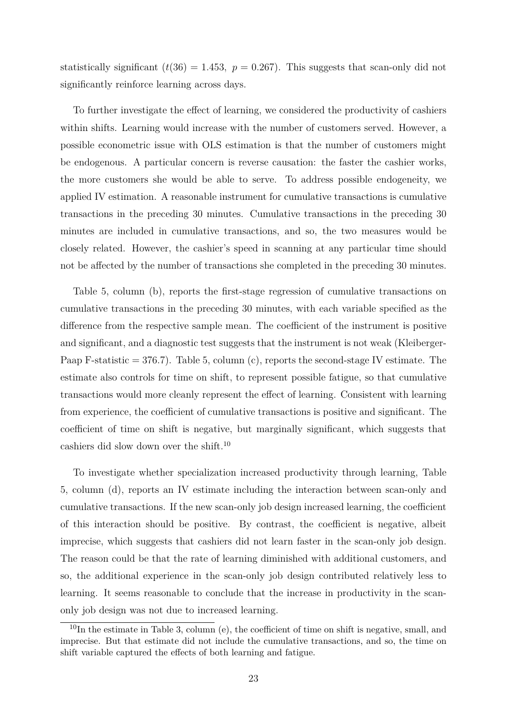statistically significant  $(t(36) = 1.453$ ,  $p = 0.267$ ). This suggests that scan-only did not significantly reinforce learning across days.

To further investigate the effect of learning, we considered the productivity of cashiers within shifts. Learning would increase with the number of customers served. However, a possible econometric issue with OLS estimation is that the number of customers might be endogenous. A particular concern is reverse causation: the faster the cashier works, the more customers she would be able to serve. To address possible endogeneity, we applied IV estimation. A reasonable instrument for cumulative transactions is cumulative transactions in the preceding 30 minutes. Cumulative transactions in the preceding 30 minutes are included in cumulative transactions, and so, the two measures would be closely related. However, the cashier's speed in scanning at any particular time should not be affected by the number of transactions she completed in the preceding 30 minutes.

Table 5, column (b), reports the first-stage regression of cumulative transactions on cumulative transactions in the preceding 30 minutes, with each variable specified as the difference from the respective sample mean. The coefficient of the instrument is positive and significant, and a diagnostic test suggests that the instrument is not weak (Kleiberger-Paap F-statistic  $= 376.7$ ). Table 5, column (c), reports the second-stage IV estimate. The estimate also controls for time on shift, to represent possible fatigue, so that cumulative transactions would more cleanly represent the effect of learning. Consistent with learning from experience, the coefficient of cumulative transactions is positive and significant. The coefficient of time on shift is negative, but marginally significant, which suggests that cashiers did slow down over the shift.<sup>10</sup>

To investigate whether specialization increased productivity through learning, Table 5, column (d), reports an IV estimate including the interaction between scan-only and cumulative transactions. If the new scan-only job design increased learning, the coefficient of this interaction should be positive. By contrast, the coefficient is negative, albeit imprecise, which suggests that cashiers did not learn faster in the scan-only job design. The reason could be that the rate of learning diminished with additional customers, and so, the additional experience in the scan-only job design contributed relatively less to learning. It seems reasonable to conclude that the increase in productivity in the scanonly job design was not due to increased learning.

 $10$ In the estimate in Table 3, column (e), the coefficient of time on shift is negative, small, and imprecise. But that estimate did not include the cumulative transactions, and so, the time on shift variable captured the effects of both learning and fatigue.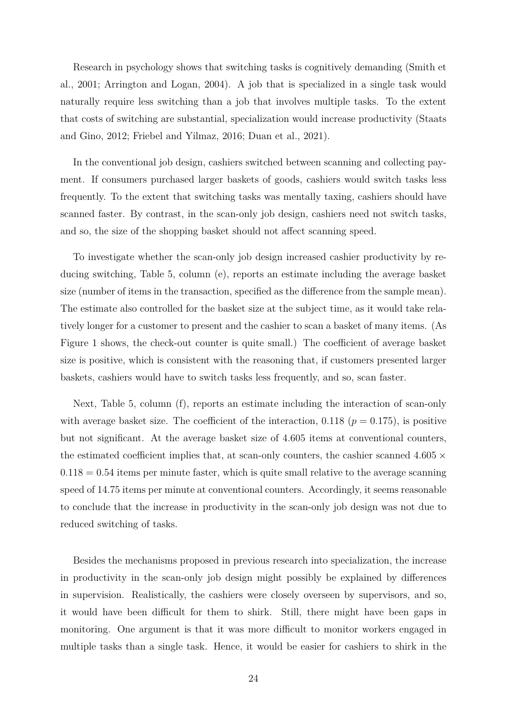Research in psychology shows that switching tasks is cognitively demanding (Smith et al., 2001; Arrington and Logan, 2004). A job that is specialized in a single task would naturally require less switching than a job that involves multiple tasks. To the extent that costs of switching are substantial, specialization would increase productivity (Staats and Gino, 2012; Friebel and Yilmaz, 2016; Duan et al., 2021).

In the conventional job design, cashiers switched between scanning and collecting payment. If consumers purchased larger baskets of goods, cashiers would switch tasks less frequently. To the extent that switching tasks was mentally taxing, cashiers should have scanned faster. By contrast, in the scan-only job design, cashiers need not switch tasks, and so, the size of the shopping basket should not affect scanning speed.

To investigate whether the scan-only job design increased cashier productivity by reducing switching, Table 5, column (e), reports an estimate including the average basket size (number of items in the transaction, specified as the difference from the sample mean). The estimate also controlled for the basket size at the subject time, as it would take relatively longer for a customer to present and the cashier to scan a basket of many items. (As Figure 1 shows, the check-out counter is quite small.) The coefficient of average basket size is positive, which is consistent with the reasoning that, if customers presented larger baskets, cashiers would have to switch tasks less frequently, and so, scan faster.

Next, Table 5, column (f), reports an estimate including the interaction of scan-only with average basket size. The coefficient of the interaction, 0.118 ( $p = 0.175$ ), is positive but not significant. At the average basket size of 4.605 items at conventional counters, the estimated coefficient implies that, at scan-only counters, the cashier scanned  $4.605 \times$ 0*.*118 = 0*.*54 items per minute faster, which is quite small relative to the average scanning speed of 14.75 items per minute at conventional counters. Accordingly, it seems reasonable to conclude that the increase in productivity in the scan-only job design was not due to reduced switching of tasks.

Besides the mechanisms proposed in previous research into specialization, the increase in productivity in the scan-only job design might possibly be explained by differences in supervision. Realistically, the cashiers were closely overseen by supervisors, and so, it would have been difficult for them to shirk. Still, there might have been gaps in monitoring. One argument is that it was more difficult to monitor workers engaged in multiple tasks than a single task. Hence, it would be easier for cashiers to shirk in the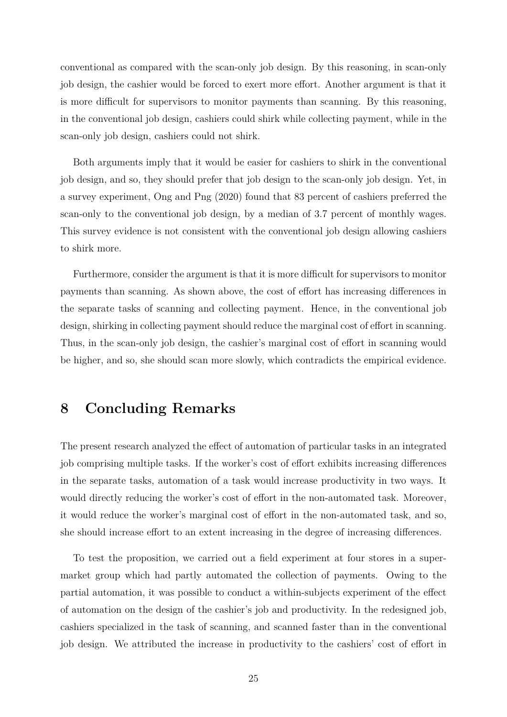conventional as compared with the scan-only job design. By this reasoning, in scan-only job design, the cashier would be forced to exert more effort. Another argument is that it is more difficult for supervisors to monitor payments than scanning. By this reasoning, in the conventional job design, cashiers could shirk while collecting payment, while in the scan-only job design, cashiers could not shirk.

Both arguments imply that it would be easier for cashiers to shirk in the conventional job design, and so, they should prefer that job design to the scan-only job design. Yet, in a survey experiment, Ong and Png (2020) found that 83 percent of cashiers preferred the scan-only to the conventional job design, by a median of 3.7 percent of monthly wages. This survey evidence is not consistent with the conventional job design allowing cashiers to shirk more.

Furthermore, consider the argument is that it is more difficult for supervisors to monitor payments than scanning. As shown above, the cost of effort has increasing differences in the separate tasks of scanning and collecting payment. Hence, in the conventional job design, shirking in collecting payment should reduce the marginal cost of effort in scanning. Thus, in the scan-only job design, the cashier's marginal cost of effort in scanning would be higher, and so, she should scan more slowly, which contradicts the empirical evidence.

## **8 Concluding Remarks**

The present research analyzed the effect of automation of particular tasks in an integrated job comprising multiple tasks. If the worker's cost of effort exhibits increasing differences in the separate tasks, automation of a task would increase productivity in two ways. It would directly reducing the worker's cost of effort in the non-automated task. Moreover, it would reduce the worker's marginal cost of effort in the non-automated task, and so, she should increase effort to an extent increasing in the degree of increasing differences.

To test the proposition, we carried out a field experiment at four stores in a supermarket group which had partly automated the collection of payments. Owing to the partial automation, it was possible to conduct a within-subjects experiment of the effect of automation on the design of the cashier's job and productivity. In the redesigned job, cashiers specialized in the task of scanning, and scanned faster than in the conventional job design. We attributed the increase in productivity to the cashiers' cost of effort in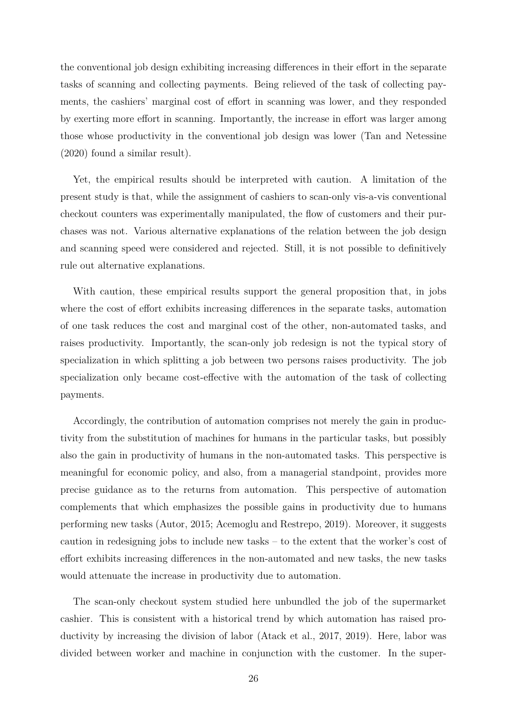the conventional job design exhibiting increasing differences in their effort in the separate tasks of scanning and collecting payments. Being relieved of the task of collecting payments, the cashiers' marginal cost of effort in scanning was lower, and they responded by exerting more effort in scanning. Importantly, the increase in effort was larger among those whose productivity in the conventional job design was lower (Tan and Netessine (2020) found a similar result).

Yet, the empirical results should be interpreted with caution. A limitation of the present study is that, while the assignment of cashiers to scan-only vis-a-vis conventional checkout counters was experimentally manipulated, the flow of customers and their purchases was not. Various alternative explanations of the relation between the job design and scanning speed were considered and rejected. Still, it is not possible to definitively rule out alternative explanations.

With caution, these empirical results support the general proposition that, in jobs where the cost of effort exhibits increasing differences in the separate tasks, automation of one task reduces the cost and marginal cost of the other, non-automated tasks, and raises productivity. Importantly, the scan-only job redesign is not the typical story of specialization in which splitting a job between two persons raises productivity. The job specialization only became cost-effective with the automation of the task of collecting payments.

Accordingly, the contribution of automation comprises not merely the gain in productivity from the substitution of machines for humans in the particular tasks, but possibly also the gain in productivity of humans in the non-automated tasks. This perspective is meaningful for economic policy, and also, from a managerial standpoint, provides more precise guidance as to the returns from automation. This perspective of automation complements that which emphasizes the possible gains in productivity due to humans performing new tasks (Autor, 2015; Acemoglu and Restrepo, 2019). Moreover, it suggests caution in redesigning jobs to include new tasks – to the extent that the worker's cost of effort exhibits increasing differences in the non-automated and new tasks, the new tasks would attenuate the increase in productivity due to automation.

The scan-only checkout system studied here unbundled the job of the supermarket cashier. This is consistent with a historical trend by which automation has raised productivity by increasing the division of labor (Atack et al., 2017, 2019). Here, labor was divided between worker and machine in conjunction with the customer. In the super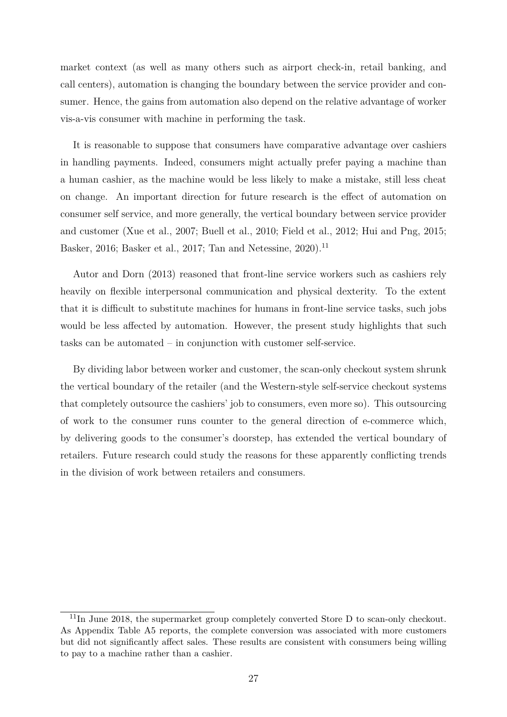market context (as well as many others such as airport check-in, retail banking, and call centers), automation is changing the boundary between the service provider and consumer. Hence, the gains from automation also depend on the relative advantage of worker vis-a-vis consumer with machine in performing the task.

It is reasonable to suppose that consumers have comparative advantage over cashiers in handling payments. Indeed, consumers might actually prefer paying a machine than a human cashier, as the machine would be less likely to make a mistake, still less cheat on change. An important direction for future research is the effect of automation on consumer self service, and more generally, the vertical boundary between service provider and customer (Xue et al., 2007; Buell et al., 2010; Field et al., 2012; Hui and Png, 2015; Basker, 2016; Basker et al., 2017; Tan and Netessine, 2020).<sup>11</sup>

Autor and Dorn (2013) reasoned that front-line service workers such as cashiers rely heavily on flexible interpersonal communication and physical dexterity. To the extent that it is difficult to substitute machines for humans in front-line service tasks, such jobs would be less affected by automation. However, the present study highlights that such tasks can be automated – in conjunction with customer self-service.

By dividing labor between worker and customer, the scan-only checkout system shrunk the vertical boundary of the retailer (and the Western-style self-service checkout systems that completely outsource the cashiers' job to consumers, even more so). This outsourcing of work to the consumer runs counter to the general direction of e-commerce which, by delivering goods to the consumer's doorstep, has extended the vertical boundary of retailers. Future research could study the reasons for these apparently conflicting trends in the division of work between retailers and consumers.

 $11$ In June 2018, the supermarket group completely converted Store D to scan-only checkout. As Appendix Table A5 reports, the complete conversion was associated with more customers but did not significantly affect sales. These results are consistent with consumers being willing to pay to a machine rather than a cashier.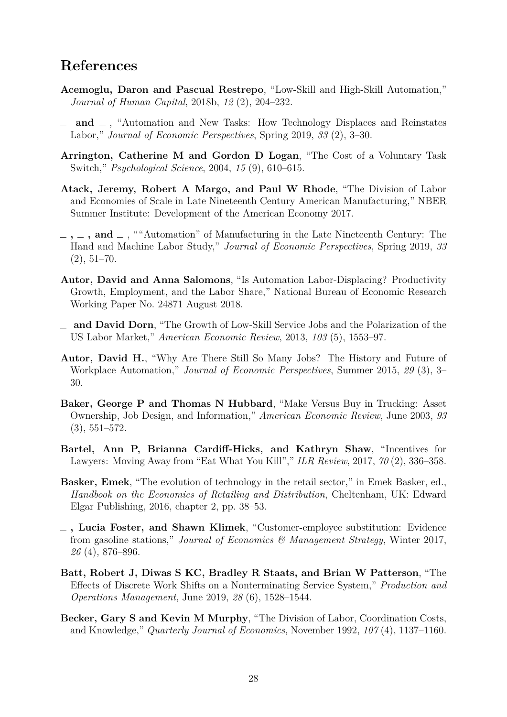## **References**

- **Acemoglu, Daron and Pascual Restrepo**, "Low-Skill and High-Skill Automation," *Journal of Human Capital*, 2018b, *12* (2), 204–232.
- **and** , "Automation and New Tasks: How Technology Displaces and Reinstates Labor," *Journal of Economic Perspectives*, Spring 2019, *33* (2), 3–30.
- **Arrington, Catherine M and Gordon D Logan**, "The Cost of a Voluntary Task Switch," *Psychological Science*, 2004, *15* (9), 610–615.
- **Atack, Jeremy, Robert A Margo, and Paul W Rhode**, "The Division of Labor and Economies of Scale in Late Nineteenth Century American Manufacturing," NBER Summer Institute: Development of the American Economy 2017.
- $\lambda$ , **and** , ""Automation" of Manufacturing in the Late Nineteenth Century: The Hand and Machine Labor Study," *Journal of Economic Perspectives*, Spring 2019, *33*  $(2), 51-70.$
- **Autor, David and Anna Salomons**, "Is Automation Labor-Displacing? Productivity Growth, Employment, and the Labor Share," National Bureau of Economic Research Working Paper No. 24871 August 2018.
- **and David Dorn**, "The Growth of Low-Skill Service Jobs and the Polarization of the US Labor Market," *American Economic Review*, 2013, *103* (5), 1553–97.
- **Autor, David H.**, "Why Are There Still So Many Jobs? The History and Future of Workplace Automation," *Journal of Economic Perspectives*, Summer 2015, *29* (3), 3– 30.
- **Baker, George P and Thomas N Hubbard**, "Make Versus Buy in Trucking: Asset Ownership, Job Design, and Information," *American Economic Review*, June 2003, *93* (3), 551–572.
- **Bartel, Ann P, Brianna Cardiff-Hicks, and Kathryn Shaw**, "Incentives for Lawyers: Moving Away from "Eat What You Kill"," *ILR Review*, 2017, *70* (2), 336–358.
- **Basker, Emek**, "The evolution of technology in the retail sector," in Emek Basker, ed., *Handbook on the Economics of Retailing and Distribution*, Cheltenham, UK: Edward Elgar Publishing, 2016, chapter 2, pp. 38–53.
- **, Lucia Foster, and Shawn Klimek**, "Customer-employee substitution: Evidence from gasoline stations," *Journal of Economics & Management Strategy*, Winter 2017, *26* (4), 876–896.
- **Batt, Robert J, Diwas S KC, Bradley R Staats, and Brian W Patterson**, "The Effects of Discrete Work Shifts on a Nonterminating Service System," *Production and Operations Management*, June 2019, *28* (6), 1528–1544.
- **Becker, Gary S and Kevin M Murphy**, "The Division of Labor, Coordination Costs, and Knowledge," *Quarterly Journal of Economics*, November 1992, *107* (4), 1137–1160.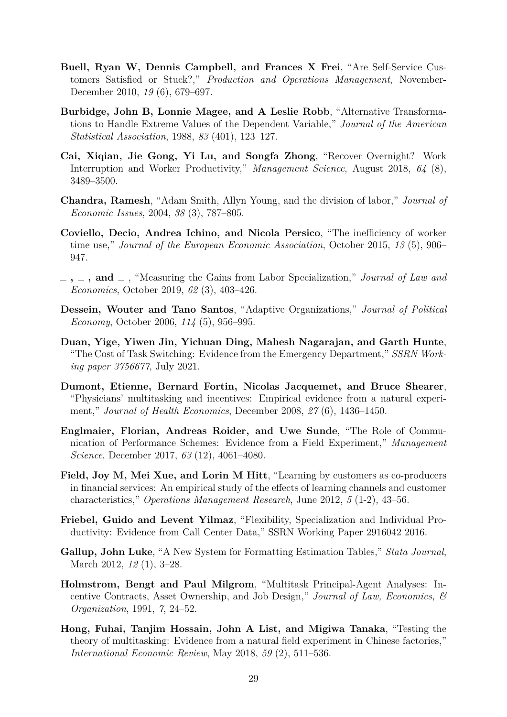- **Buell, Ryan W, Dennis Campbell, and Frances X Frei**, "Are Self-Service Customers Satisfied or Stuck?," *Production and Operations Management*, November-December 2010, *19* (6), 679–697.
- **Burbidge, John B, Lonnie Magee, and A Leslie Robb**, "Alternative Transformations to Handle Extreme Values of the Dependent Variable," *Journal of the American Statistical Association*, 1988, *83* (401), 123–127.
- **Cai, Xiqian, Jie Gong, Yi Lu, and Songfa Zhong**, "Recover Overnight? Work Interruption and Worker Productivity," *Management Science*, August 2018, *64* (8), 3489–3500.
- **Chandra, Ramesh**, "Adam Smith, Allyn Young, and the division of labor," *Journal of Economic Issues*, 2004, *38* (3), 787–805.
- **Coviello, Decio, Andrea Ichino, and Nicola Persico**, "The inefficiency of worker time use," *Journal of the European Economic Association*, October 2015, *13* (5), 906– 947.
- $\lambda$ ,  $\lambda$ , and  $\lambda$ , "Measuring the Gains from Labor Specialization," *Journal of Law and Economics*, October 2019, *62* (3), 403–426.
- **Dessein, Wouter and Tano Santos**, "Adaptive Organizations," *Journal of Political Economy*, October 2006, *114* (5), 956–995.
- **Duan, Yige, Yiwen Jin, Yichuan Ding, Mahesh Nagarajan, and Garth Hunte**, "The Cost of Task Switching: Evidence from the Emergency Department," *SSRN Working paper 3756677*, July 2021.
- **Dumont, Etienne, Bernard Fortin, Nicolas Jacquemet, and Bruce Shearer**, "Physicians' multitasking and incentives: Empirical evidence from a natural experiment," *Journal of Health Economics*, December 2008, *27* (6), 1436–1450.
- **Englmaier, Florian, Andreas Roider, and Uwe Sunde**, "The Role of Communication of Performance Schemes: Evidence from a Field Experiment," *Management Science*, December 2017, *63* (12), 4061–4080.
- **Field, Joy M, Mei Xue, and Lorin M Hitt**, "Learning by customers as co-producers in financial services: An empirical study of the effects of learning channels and customer characteristics," *Operations Management Research*, June 2012, *5* (1-2), 43–56.
- **Friebel, Guido and Levent Yilmaz**, "Flexibility, Specialization and Individual Productivity: Evidence from Call Center Data," SSRN Working Paper 2916042 2016.
- **Gallup, John Luke**, "A New System for Formatting Estimation Tables," *Stata Journal*, March 2012, *12* (1), 3–28.
- **Holmstrom, Bengt and Paul Milgrom**, "Multitask Principal-Agent Analyses: Incentive Contracts, Asset Ownership, and Job Design," *Journal of Law, Economics, & Organization*, 1991, *7*, 24–52.
- **Hong, Fuhai, Tanjim Hossain, John A List, and Migiwa Tanaka**, "Testing the theory of multitasking: Evidence from a natural field experiment in Chinese factories," *International Economic Review*, May 2018, *59* (2), 511–536.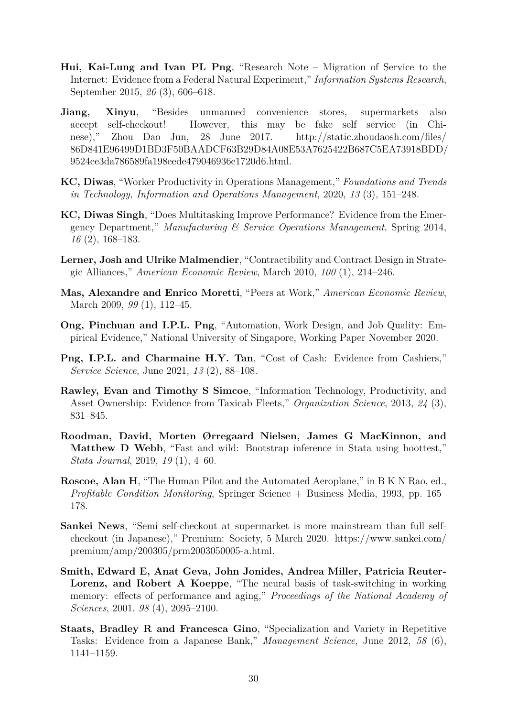- **Hui, Kai-Lung and Ivan PL Png**, "Research Note Migration of Service to the Internet: Evidence from a Federal Natural Experiment," *Information Systems Research*, September 2015, *26* (3), 606–618.
- **Jiang, Xinyu**, "Besides unmanned convenience stores, supermarkets also accept self-checkout! However, this may be fake self service (in Chinese)," Zhou Dao Jun, 28 June 2017. http://static.zhoudaosh.com/files/ 86D841E96499D1BD3F50BAADCF63B29D84A08E53A7625422B687C5EA73918BDD/ 9524ee3da786589fa198eede479046936e1720d6.html.
- **KC, Diwas**, "Worker Productivity in Operations Management," *Foundations and Trends in Technology, Information and Operations Management*, 2020, *13* (3), 151–248.
- **KC, Diwas Singh**, "Does Multitasking Improve Performance? Evidence from the Emergency Department," *Manufacturing & Service Operations Management*, Spring 2014, *16* (2), 168–183.
- **Lerner, Josh and Ulrike Malmendier**, "Contractibility and Contract Design in Strategic Alliances," *American Economic Review*, March 2010, *100* (1), 214–246.
- **Mas, Alexandre and Enrico Moretti**, "Peers at Work," *American Economic Review*, March 2009, *99* (1), 112–45.
- **Ong, Pinchuan and I.P.L. Png**, "Automation, Work Design, and Job Quality: Empirical Evidence," National University of Singapore, Working Paper November 2020.
- **Png, I.P.L. and Charmaine H.Y. Tan**, "Cost of Cash: Evidence from Cashiers," *Service Science*, June 2021, *13* (2), 88–108.
- **Rawley, Evan and Timothy S Simcoe**, "Information Technology, Productivity, and Asset Ownership: Evidence from Taxicab Fleets," *Organization Science*, 2013, *24* (3), 831–845.
- **Roodman, David, Morten Ørregaard Nielsen, James G MacKinnon, and Matthew D Webb**, "Fast and wild: Bootstrap inference in Stata using boottest," *Stata Journal*, 2019, *19* (1), 4–60.
- **Roscoe, Alan H**, "The Human Pilot and the Automated Aeroplane," in B K N Rao, ed., *Profitable Condition Monitoring*, Springer Science + Business Media, 1993, pp. 165– 178.
- **Sankei News**, "Semi self-checkout at supermarket is more mainstream than full selfcheckout (in Japanese)," Premium: Society, 5 March 2020. https://www.sankei.com/ premium/amp/200305/prm2003050005-a.html.
- **Smith, Edward E, Anat Geva, John Jonides, Andrea Miller, Patricia Reuter-Lorenz, and Robert A Koeppe**, "The neural basis of task-switching in working memory: effects of performance and aging," *Proceedings of the National Academy of Sciences*, 2001, *98* (4), 2095–2100.
- **Staats, Bradley R and Francesca Gino**, "Specialization and Variety in Repetitive Tasks: Evidence from a Japanese Bank," *Management Science*, June 2012, *58* (6), 1141–1159.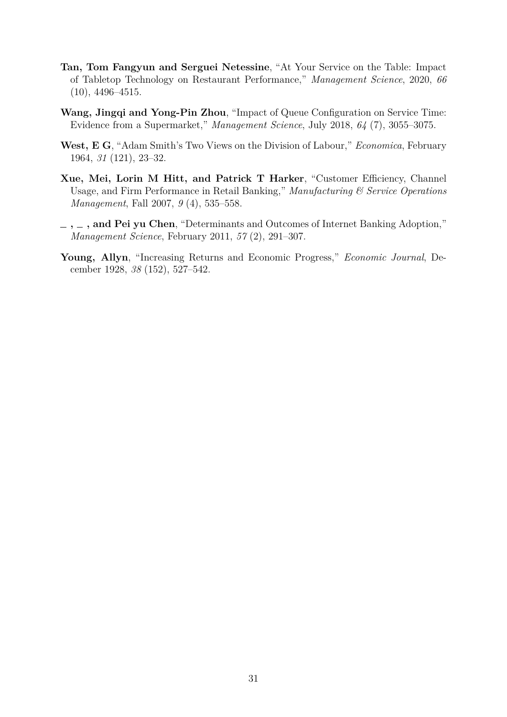- **Tan, Tom Fangyun and Serguei Netessine**, "At Your Service on the Table: Impact of Tabletop Technology on Restaurant Performance," *Management Science*, 2020, *66* (10), 4496–4515.
- **Wang, Jingqi and Yong-Pin Zhou**, "Impact of Queue Configuration on Service Time: Evidence from a Supermarket," *Management Science*, July 2018, *64* (7), 3055–3075.
- **West, E G**, "Adam Smith's Two Views on the Division of Labour," *Economica*, February 1964, *31* (121), 23–32.
- **Xue, Mei, Lorin M Hitt, and Patrick T Harker**, "Customer Efficiency, Channel Usage, and Firm Performance in Retail Banking," *Manufacturing & Service Operations Management*, Fall 2007, *9* (4), 535–558.
- **, , and Pei yu Chen**, "Determinants and Outcomes of Internet Banking Adoption," *Management Science*, February 2011, *57* (2), 291–307.
- **Young, Allyn**, "Increasing Returns and Economic Progress," *Economic Journal*, December 1928, *38* (152), 527–542.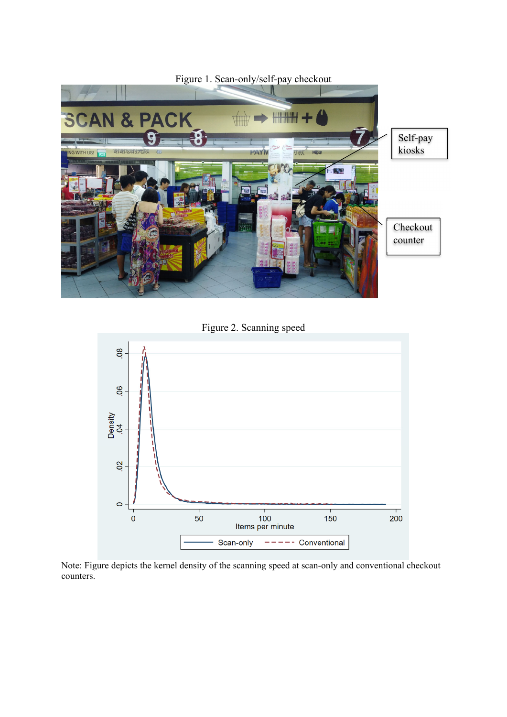

Figure 2. Scanning speed



Note: Figure depicts the kernel density of the scanning speed at scan-only and conventional checkout counters.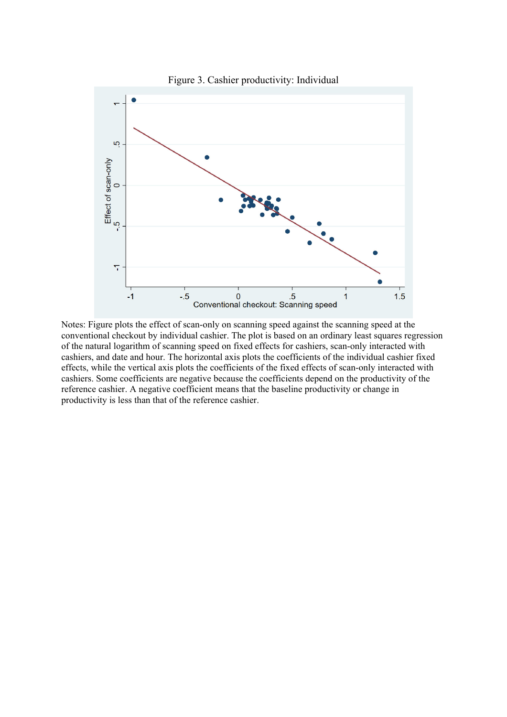

Notes: Figure plots the effect of scan-only on scanning speed against the scanning speed at the conventional checkout by individual cashier. The plot is based on an ordinary least squares regression of the natural logarithm of scanning speed on fixed effects for cashiers, scan-only interacted with cashiers, and date and hour. The horizontal axis plots the coefficients of the individual cashier fixed effects, while the vertical axis plots the coefficients of the fixed effects of scan-only interacted with cashiers. Some coefficients are negative because the coefficients depend on the productivity of the reference cashier. A negative coefficient means that the baseline productivity or change in productivity is less than that of the reference cashier.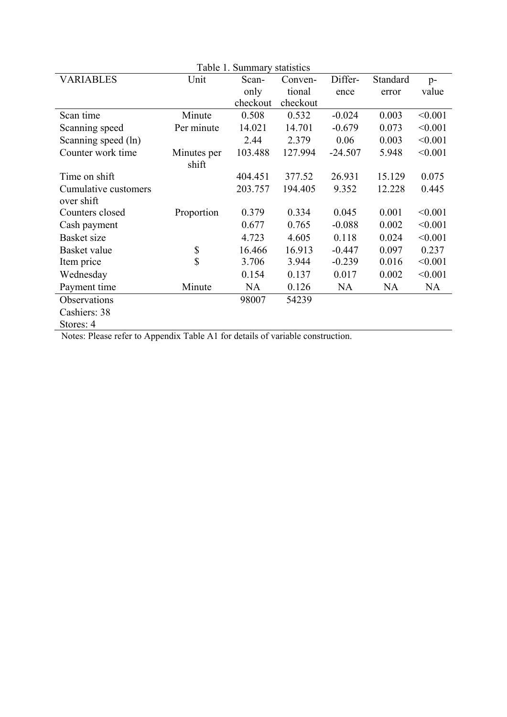| Table 1. Summary statistics |             |           |          |           |           |           |
|-----------------------------|-------------|-----------|----------|-----------|-----------|-----------|
| <b>VARIABLES</b>            | Unit        | Scan-     | Conven-  | Differ-   | Standard  | $p-$      |
|                             |             | only      | tional   | ence      | error     | value     |
|                             |             | checkout  | checkout |           |           |           |
| Scan time                   | Minute      | 0.508     | 0.532    | $-0.024$  | 0.003     | < 0.001   |
| Scanning speed              | Per minute  | 14.021    | 14.701   | $-0.679$  | 0.073     | < 0.001   |
| Scanning speed (ln)         |             | 2.44      | 2.379    | 0.06      | 0.003     | < 0.001   |
| Counter work time           | Minutes per | 103.488   | 127.994  | $-24.507$ | 5.948     | < 0.001   |
|                             | shift       |           |          |           |           |           |
| Time on shift               |             | 404.451   | 377.52   | 26.931    | 15.129    | 0.075     |
| Cumulative customers        |             | 203.757   | 194.405  | 9.352     | 12.228    | 0.445     |
| over shift                  |             |           |          |           |           |           |
| Counters closed             | Proportion  | 0.379     | 0.334    | 0.045     | 0.001     | < 0.001   |
| Cash payment                |             | 0.677     | 0.765    | $-0.088$  | 0.002     | < 0.001   |
| <b>Basket</b> size          |             | 4.723     | 4.605    | 0.118     | 0.024     | < 0.001   |
| Basket value                | \$          | 16.466    | 16.913   | $-0.447$  | 0.097     | 0.237     |
| Item price                  | \$          | 3.706     | 3.944    | $-0.239$  | 0.016     | < 0.001   |
| Wednesday                   |             | 0.154     | 0.137    | 0.017     | 0.002     | < 0.001   |
| Payment time                | Minute      | <b>NA</b> | 0.126    | NA        | <b>NA</b> | <b>NA</b> |
| Observations                |             | 98007     | 54239    |           |           |           |
| Cashiers: 38                |             |           |          |           |           |           |
| Stores: 4                   |             |           |          |           |           |           |

Notes: Please refer to Appendix Table A1 for details of variable construction.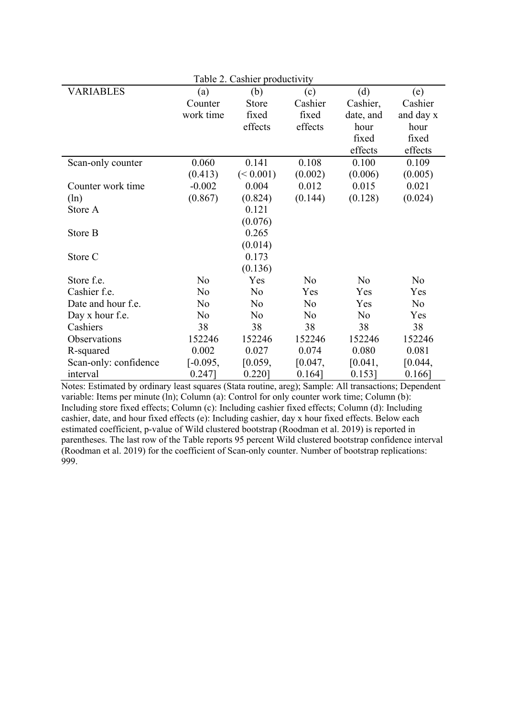| Table 2. Cashier productivity |            |                |         |           |                |
|-------------------------------|------------|----------------|---------|-----------|----------------|
| <b>VARIABLES</b>              | (a)        | (b)            | (c)     | (d)       | (e)            |
|                               | Counter    | Store          | Cashier | Cashier,  | Cashier        |
|                               | work time  | fixed          | fixed   | date, and | and day x      |
|                               |            | effects        | effects | hour      | hour           |
|                               |            |                |         | fixed     | fixed          |
|                               |            |                |         | effects   | effects        |
| Scan-only counter             | 0.060      | 0.141          | 0.108   | 0.100     | 0.109          |
|                               | (0.413)    | (< 0.001)      | (0.002) | (0.006)   | (0.005)        |
| Counter work time             | $-0.002$   | 0.004          | 0.012   | 0.015     | 0.021          |
| (ln)                          | (0.867)    | (0.824)        | (0.144) | (0.128)   | (0.024)        |
| Store A                       |            | 0.121          |         |           |                |
|                               |            | (0.076)        |         |           |                |
| Store B                       |            | 0.265          |         |           |                |
|                               |            | (0.014)        |         |           |                |
| Store C                       |            | 0.173          |         |           |                |
|                               |            | (0.136)        |         |           |                |
| Store f.e.                    | No         | Yes            | No      | No        | N <sub>o</sub> |
| Cashier f.e.                  | No         | No             | Yes     | Yes       | Yes            |
| Date and hour f.e.            | No         | N <sub>o</sub> | No      | Yes       | N <sub>o</sub> |
| Day x hour f.e.               | No         | No             | No      | No        | Yes            |
| Cashiers                      | 38         | 38             | 38      | 38        | 38             |
| Observations                  | 152246     | 152246         | 152246  | 152246    | 152246         |
| R-squared                     | 0.002      | 0.027          | 0.074   | 0.080     | 0.081          |
| Scan-only: confidence         | $[-0.095,$ | [0.059,        | [0.047, | [0.041,   | [0.044,        |
| interval                      | $0.247$ ]  | $0.220$ ]      | 0.164]  | $0.153$ ] | $0.166$ ]      |

Notes: Estimated by ordinary least squares (Stata routine, areg); Sample: All transactions; Dependent variable: Items per minute (ln); Column (a): Control for only counter work time; Column (b): Including store fixed effects; Column (c): Including cashier fixed effects; Column (d): Including cashier, date, and hour fixed effects (e): Including cashier, day x hour fixed effects. Below each estimated coefficient, p-value of Wild clustered bootstrap (Roodman et al. 2019) is reported in parentheses. The last row of the Table reports 95 percent Wild clustered bootstrap confidence interval (Roodman et al. 2019) for the coefficient of Scan-only counter. Number of bootstrap replications: 999.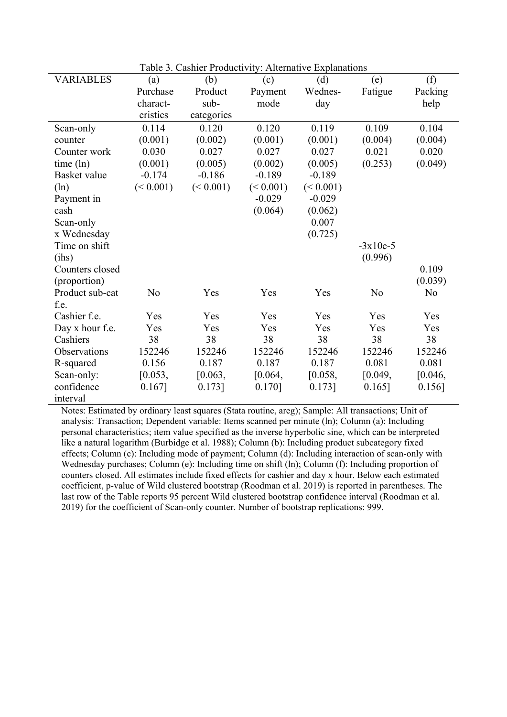|                  |           |            | TTTCATTCATT |           |            |           |
|------------------|-----------|------------|-------------|-----------|------------|-----------|
| <b>VARIABLES</b> | (a)       | (b)        | (c)         | (d)       | (e)        | (f)       |
|                  | Purchase  | Product    | Payment     | Wednes-   | Fatigue    | Packing   |
|                  | charact-  | sub-       | mode        | day       |            | help      |
|                  | eristics  | categories |             |           |            |           |
| Scan-only        | 0.114     | 0.120      | 0.120       | 0.119     | 0.109      | 0.104     |
| counter          | (0.001)   | (0.002)    | (0.001)     | (0.001)   | (0.004)    | (0.004)   |
| Counter work     | 0.030     | 0.027      | 0.027       | 0.027     | 0.021      | 0.020     |
| time (ln)        | (0.001)   | (0.005)    | (0.002)     | (0.005)   | (0.253)    | (0.049)   |
| Basket value     | $-0.174$  | $-0.186$   | $-0.189$    | $-0.189$  |            |           |
| $(\ln)$          | (< 0.001) | (< 0.001)  | (< 0.001)   | (< 0.001) |            |           |
| Payment in       |           |            | $-0.029$    | $-0.029$  |            |           |
| cash             |           |            | (0.064)     | (0.062)   |            |           |
| Scan-only        |           |            |             | 0.007     |            |           |
| x Wednesday      |           |            |             | (0.725)   |            |           |
| Time on shift    |           |            |             |           | $-3x10e-5$ |           |
| (ihs)            |           |            |             |           | (0.996)    |           |
| Counters closed  |           |            |             |           |            | 0.109     |
| (proportion)     |           |            |             |           |            | (0.039)   |
| Product sub-cat  | No        | Yes        | Yes         | Yes       | No         | No        |
| f.e.             |           |            |             |           |            |           |
| Cashier f.e.     | Yes       | Yes        | Yes         | Yes       | Yes        | Yes       |
| Day x hour f.e.  | Yes       | Yes        | Yes         | Yes       | Yes        | Yes       |
| Cashiers         | 38        | 38         | 38          | 38        | 38         | 38        |
| Observations     | 152246    | 152246     | 152246      | 152246    | 152246     | 152246    |
| R-squared        | 0.156     | 0.187      | 0.187       | 0.187     | 0.081      | 0.081     |
| Scan-only:       | [0.053,   | [0.063,    | [0.064,     | [0.058,   | [0.049,    | [0.046,   |
| confidence       | $0.167$ ] | $0.173$ ]  | $0.170$ ]   | $0.173$ ] | $0.165$ ]  | $0.156$ ] |
| interval         |           |            |             |           |            |           |

Notes: Estimated by ordinary least squares (Stata routine, areg); Sample: All transactions; Unit of analysis: Transaction; Dependent variable: Items scanned per minute (ln); Column (a): Including personal characteristics; item value specified as the inverse hyperbolic sine, which can be interpreted like a natural logarithm (Burbidge et al. 1988); Column (b): Including product subcategory fixed effects; Column (c): Including mode of payment; Column (d): Including interaction of scan-only with Wednesday purchases; Column (e): Including time on shift (ln); Column (f): Including proportion of counters closed. All estimates include fixed effects for cashier and day x hour. Below each estimated coefficient, p-value of Wild clustered bootstrap (Roodman et al. 2019) is reported in parentheses. The last row of the Table reports 95 percent Wild clustered bootstrap confidence interval (Roodman et al. 2019) for the coefficient of Scan-only counter. Number of bootstrap replications: 999.

Table 3. Cashier Productivity: Alternative Explanations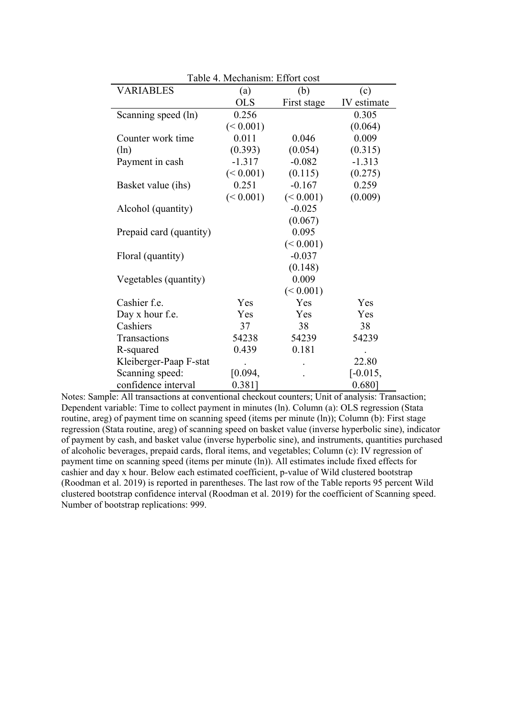|                         | Table 4. Mechanism: Effort cost |             |             |  |  |  |
|-------------------------|---------------------------------|-------------|-------------|--|--|--|
| <b>VARIABLES</b>        | (a)                             | (b)         | (c)         |  |  |  |
|                         | <b>OLS</b>                      | First stage | IV estimate |  |  |  |
| Scanning speed (ln)     | 0.256                           |             | 0.305       |  |  |  |
|                         | (< 0.001)                       |             | (0.064)     |  |  |  |
| Counter work time       | 0.011                           | 0.046       | 0.009       |  |  |  |
| $(\ln)$                 | (0.393)                         | (0.054)     | (0.315)     |  |  |  |
| Payment in cash         | $-1.317$                        | $-0.082$    | $-1.313$    |  |  |  |
|                         | (< 0.001)                       | (0.115)     | (0.275)     |  |  |  |
| Basket value (ihs)      | 0.251                           | $-0.167$    | 0.259       |  |  |  |
|                         | (< 0.001)                       | (< 0.001)   | (0.009)     |  |  |  |
| Alcohol (quantity)      |                                 | $-0.025$    |             |  |  |  |
|                         |                                 | (0.067)     |             |  |  |  |
| Prepaid card (quantity) |                                 | 0.095       |             |  |  |  |
|                         |                                 | (< 0.001)   |             |  |  |  |
| Floral (quantity)       |                                 | $-0.037$    |             |  |  |  |
|                         |                                 | (0.148)     |             |  |  |  |
| Vegetables (quantity)   |                                 | 0.009       |             |  |  |  |
|                         |                                 | (< 0.001)   |             |  |  |  |
| Cashier f.e.            | Yes                             | Yes         | Yes         |  |  |  |
| Day x hour f.e.         | Yes                             | Yes         | Yes         |  |  |  |
| Cashiers                | 37                              | 38          | 38          |  |  |  |
| Transactions            | 54238                           | 54239       | 54239       |  |  |  |
| R-squared               | 0.439                           | 0.181       |             |  |  |  |
| Kleiberger-Paap F-stat  |                                 |             | 22.80       |  |  |  |
| Scanning speed:         | [0.094,                         |             | $[-0.015,$  |  |  |  |
| confidence interval     | $0.381$ ]                       |             | 0.680]      |  |  |  |

Notes: Sample: All transactions at conventional checkout counters; Unit of analysis: Transaction; Dependent variable: Time to collect payment in minutes (ln). Column (a): OLS regression (Stata routine, areg) of payment time on scanning speed (items per minute (ln)); Column (b): First stage regression (Stata routine, areg) of scanning speed on basket value (inverse hyperbolic sine), indicator of payment by cash, and basket value (inverse hyperbolic sine), and instruments, quantities purchased of alcoholic beverages, prepaid cards, floral items, and vegetables; Column (c): IV regression of payment time on scanning speed (items per minute (ln)). All estimates include fixed effects for cashier and day x hour. Below each estimated coefficient, p-value of Wild clustered bootstrap (Roodman et al. 2019) is reported in parentheses. The last row of the Table reports 95 percent Wild clustered bootstrap confidence interval (Roodman et al. 2019) for the coefficient of Scanning speed. Number of bootstrap replications: 999.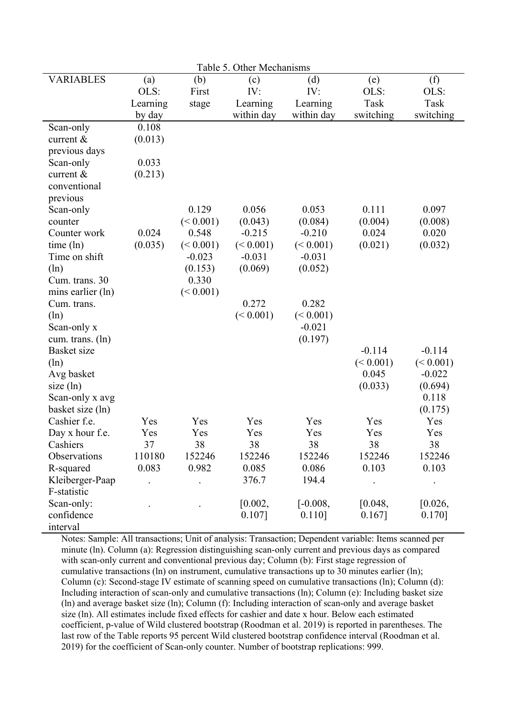| Table 5. Other Mechanisms   |           |           |            |            |           |           |
|-----------------------------|-----------|-----------|------------|------------|-----------|-----------|
| <b>VARIABLES</b>            | (a)       | (b)       | (c)        | (d)        | (e)       | (f)       |
|                             | OLS:      | First     | IV:        | IV:        | OLS:      | OLS:      |
|                             | Learning  | stage     | Learning   | Learning   | Task      | Task      |
|                             | by day    |           | within day | within day | switching | switching |
| Scan-only                   | 0.108     |           |            |            |           |           |
| current &                   | (0.013)   |           |            |            |           |           |
| previous days               |           |           |            |            |           |           |
| Scan-only                   | 0.033     |           |            |            |           |           |
| current &                   | (0.213)   |           |            |            |           |           |
| conventional                |           |           |            |            |           |           |
| previous                    |           |           |            |            |           |           |
| Scan-only                   |           | 0.129     | 0.056      | 0.053      | 0.111     | 0.097     |
| counter                     |           | (< 0.001) | (0.043)    | (0.084)    | (0.004)   | (0.008)   |
| Counter work                | 0.024     | 0.548     | $-0.215$   | $-0.210$   | 0.024     | 0.020     |
| time (ln)                   | (0.035)   | (< 0.001) | (< 0.001)  | (< 0.001)  | (0.021)   | (0.032)   |
| Time on shift               |           | $-0.023$  | $-0.031$   | $-0.031$   |           |           |
| (ln)                        |           | (0.153)   | (0.069)    | (0.052)    |           |           |
| Cum. trans. 30              |           | 0.330     |            |            |           |           |
| mins earlier (ln)           |           | (< 0.001) |            |            |           |           |
| Cum. trans.                 |           |           | 0.272      | 0.282      |           |           |
| (ln)                        |           |           | (< 0.001)  | (< 0.001)  |           |           |
| Scan-only x                 |           |           |            | $-0.021$   |           |           |
| cum. trans. (ln)            |           |           |            | (0.197)    |           |           |
| Basket size                 |           |           |            |            | $-0.114$  | $-0.114$  |
| (ln)                        |           |           |            |            | (< 0.001) | (< 0.001) |
| Avg basket                  |           |           |            |            | 0.045     | $-0.022$  |
| size $(\ln)$                |           |           |            |            | (0.033)   | (0.694)   |
| Scan-only x avg             |           |           |            |            |           | 0.118     |
| basket size (ln)            |           |           |            |            |           | (0.175)   |
| Cashier f.e.                | Yes       | Yes       | Yes        | Yes        | Yes       | Yes       |
| Day x hour f.e.<br>Cashiers | Yes<br>37 | Yes<br>38 | Yes<br>38  | Yes<br>38  | Yes<br>38 | Yes<br>38 |
| Observations                | 110180    | 152246    | 152246     | 152246     | 152246    | 152246    |
| R-squared                   | 0.083     | 0.982     | 0.085      | 0.086      | 0.103     | 0.103     |
| Kleiberger-Paap             |           |           | 376.7      | 194.4      |           |           |
| F-statistic                 |           |           |            |            |           |           |
| Scan-only:                  |           |           | [0.002,    | $[-0.008,$ | [0.048,   | [0.026,   |
| confidence                  |           |           | $0.107$ ]  | $0.110$ ]  | $0.167$ ] | $0.170$ ] |
| interval                    |           |           |            |            |           |           |

Notes: Sample: All transactions; Unit of analysis: Transaction; Dependent variable: Items scanned per minute (ln). Column (a): Regression distinguishing scan-only current and previous days as compared with scan-only current and conventional previous day; Column (b): First stage regression of cumulative transactions (ln) on instrument, cumulative transactions up to 30 minutes earlier (ln); Column (c): Second-stage IV estimate of scanning speed on cumulative transactions (ln); Column (d): Including interaction of scan-only and cumulative transactions (ln); Column (e): Including basket size (ln) and average basket size (ln); Column (f): Including interaction of scan-only and average basket size (ln). All estimates include fixed effects for cashier and date x hour. Below each estimated coefficient, p-value of Wild clustered bootstrap (Roodman et al. 2019) is reported in parentheses. The last row of the Table reports 95 percent Wild clustered bootstrap confidence interval (Roodman et al. 2019) for the coefficient of Scan-only counter. Number of bootstrap replications: 999.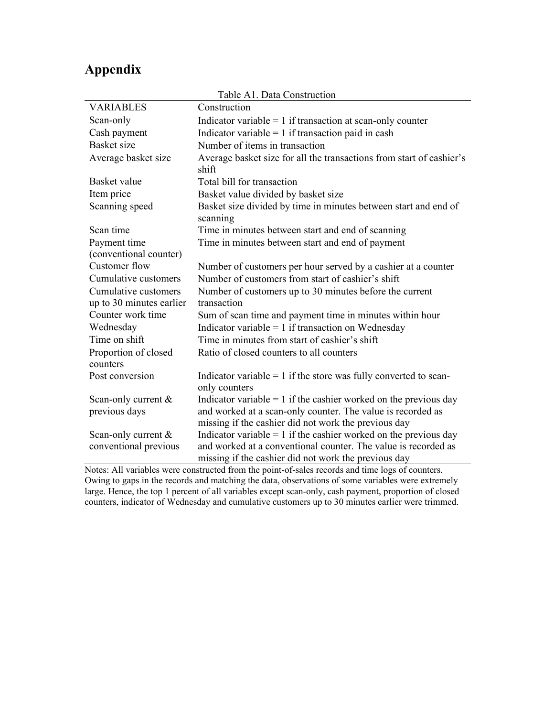# **Appendix**

| Table AT. Data Construction      |                                                                                                                        |  |  |
|----------------------------------|------------------------------------------------------------------------------------------------------------------------|--|--|
| <b>VARIABLES</b>                 | Construction                                                                                                           |  |  |
| Scan-only                        | Indicator variable = $1$ if transaction at scan-only counter                                                           |  |  |
| Cash payment                     | Indicator variable = $1$ if transaction paid in cash                                                                   |  |  |
| Basket size                      | Number of items in transaction                                                                                         |  |  |
| Average basket size              | Average basket size for all the transactions from start of cashier's<br>shift                                          |  |  |
| Basket value                     | Total bill for transaction                                                                                             |  |  |
| Item price                       | Basket value divided by basket size                                                                                    |  |  |
| Scanning speed                   | Basket size divided by time in minutes between start and end of<br>scanning                                            |  |  |
| Scan time                        | Time in minutes between start and end of scanning                                                                      |  |  |
| Payment time                     | Time in minutes between start and end of payment                                                                       |  |  |
| (conventional counter)           |                                                                                                                        |  |  |
| Customer flow                    | Number of customers per hour served by a cashier at a counter                                                          |  |  |
| Cumulative customers             | Number of customers from start of cashier's shift                                                                      |  |  |
| Cumulative customers             | Number of customers up to 30 minutes before the current                                                                |  |  |
| up to 30 minutes earlier         | transaction                                                                                                            |  |  |
| Counter work time                | Sum of scan time and payment time in minutes within hour                                                               |  |  |
| Wednesday                        | Indicator variable = $1$ if transaction on Wednesday                                                                   |  |  |
| Time on shift                    | Time in minutes from start of cashier's shift                                                                          |  |  |
| Proportion of closed<br>counters | Ratio of closed counters to all counters                                                                               |  |  |
| Post conversion                  | Indicator variable = 1 if the store was fully converted to scan-<br>only counters                                      |  |  |
| Scan-only current &              | Indicator variable $= 1$ if the cashier worked on the previous day                                                     |  |  |
| previous days                    | and worked at a scan-only counter. The value is recorded as                                                            |  |  |
|                                  | missing if the cashier did not work the previous day                                                                   |  |  |
| Scan-only current &              | Indicator variable $= 1$ if the cashier worked on the previous day                                                     |  |  |
| conventional previous            | and worked at a conventional counter. The value is recorded as<br>missing if the cashier did not work the previous day |  |  |
| 1.11<br>$\cdot$ $\cdot$ $\cdot$  |                                                                                                                        |  |  |

Table A1. Data Construction

Notes: All variables were constructed from the point-of-sales records and time logs of counters. Owing to gaps in the records and matching the data, observations of some variables were extremely large. Hence, the top 1 percent of all variables except scan-only, cash payment, proportion of closed counters, indicator of Wednesday and cumulative customers up to 30 minutes earlier were trimmed.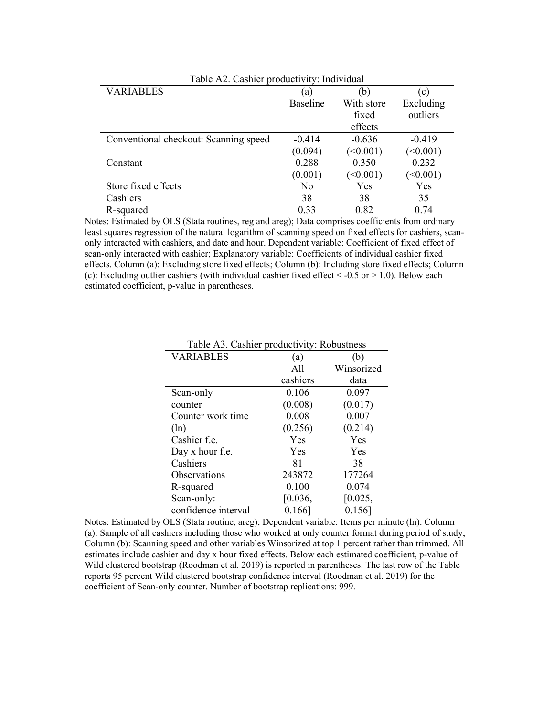| Table A2. Cashier productivity: Individual |                |            |           |  |
|--------------------------------------------|----------------|------------|-----------|--|
| VARIABLES                                  | a)             | (b)        | (c)       |  |
|                                            | Baseline       | With store | Excluding |  |
|                                            |                | fixed      | outliers  |  |
|                                            |                | effects    |           |  |
| Conventional checkout: Scanning speed      | $-0.414$       | $-0.636$   | $-0.419$  |  |
|                                            | (0.094)        | (<0.001)   | (<0.001)  |  |
| Constant                                   | 0.288          | 0.350      | 0.232     |  |
|                                            | (0.001)        | (<0.001)   | (<0.001)  |  |
| Store fixed effects                        | N <sub>0</sub> | Yes        | Yes       |  |
| Cashiers                                   | 38             | 38         | 35        |  |
| R-squared                                  | 0.33           | 0.82       | 0.74      |  |

Notes: Estimated by OLS (Stata routines, reg and areg); Data comprises coefficients from ordinary least squares regression of the natural logarithm of scanning speed on fixed effects for cashiers, scanonly interacted with cashiers, and date and hour. Dependent variable: Coefficient of fixed effect of scan-only interacted with cashier; Explanatory variable: Coefficients of individual cashier fixed effects. Column (a): Excluding store fixed effects; Column (b): Including store fixed effects; Column (c): Excluding outlier cashiers (with individual cashier fixed effect  $\leq -0.5$  or  $\geq 1.0$ ). Below each estimated coefficient, p-value in parentheses.

| <b>VARIABLES</b>    | (a)       | (b)        |
|---------------------|-----------|------------|
|                     | A11       | Winsorized |
|                     | cashiers  | data       |
| Scan-only           | 0.106     | 0.097      |
| counter             | (0.008)   | (0.017)    |
| Counter work time   | 0.008     | 0.007      |
| $(\ln)$             | (0.256)   | (0.214)    |
| Cashier f.e.        | Yes       | Yes        |
| Day x hour f.e.     | Yes       | Yes        |
| Cashiers            | 81        | 38         |
| Observations        | 243872    | 177264     |
| R-squared           | 0.100     | 0.074      |
| Scan-only:          | [0.036,   | [0.025,    |
| confidence interval | $0.166$ ] | $0.156$ ]  |

Table A3. Cashier productivity: Robustness

Notes: Estimated by OLS (Stata routine, areg); Dependent variable: Items per minute (ln). Column (a): Sample of all cashiers including those who worked at only counter format during period of study; Column (b): Scanning speed and other variables Winsorized at top 1 percent rather than trimmed. All estimates include cashier and day x hour fixed effects. Below each estimated coefficient, p-value of Wild clustered bootstrap (Roodman et al. 2019) is reported in parentheses. The last row of the Table reports 95 percent Wild clustered bootstrap confidence interval (Roodman et al. 2019) for the coefficient of Scan-only counter. Number of bootstrap replications: 999.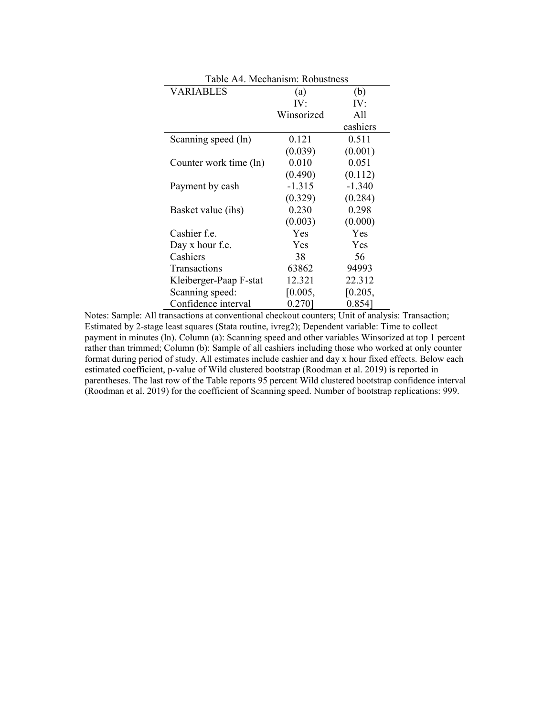| Table A4. Mechanism: Robustness |            |          |  |  |
|---------------------------------|------------|----------|--|--|
| <b>VARIABLES</b>                | (a)        | (b)      |  |  |
|                                 | IV:        | IV:      |  |  |
|                                 | Winsorized | All      |  |  |
|                                 |            | cashiers |  |  |
| Scanning speed (ln)             | 0.121      | 0.511    |  |  |
|                                 | (0.039)    | (0.001)  |  |  |
| Counter work time (ln)          | 0.010      | 0.051    |  |  |
|                                 | (0.490)    | (0.112)  |  |  |
| Payment by cash                 | $-1.315$   | $-1.340$ |  |  |
|                                 | (0.329)    | (0.284)  |  |  |
| Basket value (ihs)              | 0.230      | 0.298    |  |  |
|                                 | (0.003)    | (0.000)  |  |  |
| Cashier f.e.                    | Yes        | Yes      |  |  |
| Day x hour f.e.                 | Yes        | Yes      |  |  |
| Cashiers                        | 38         | 56       |  |  |
| Transactions                    | 63862      | 94993    |  |  |
| Kleiberger-Paap F-stat          | 12.321     | 22.312   |  |  |
| Scanning speed:                 | [0.005,    | [0.205,  |  |  |
| Confidence interval             | 0.270]     | 0.854]   |  |  |

Notes: Sample: All transactions at conventional checkout counters; Unit of analysis: Transaction; Estimated by 2-stage least squares (Stata routine, ivreg2); Dependent variable: Time to collect payment in minutes (ln). Column (a): Scanning speed and other variables Winsorized at top 1 percent rather than trimmed; Column (b): Sample of all cashiers including those who worked at only counter format during period of study. All estimates include cashier and day x hour fixed effects. Below each estimated coefficient, p-value of Wild clustered bootstrap (Roodman et al. 2019) is reported in parentheses. The last row of the Table reports 95 percent Wild clustered bootstrap confidence interval (Roodman et al. 2019) for the coefficient of Scanning speed. Number of bootstrap replications: 999.